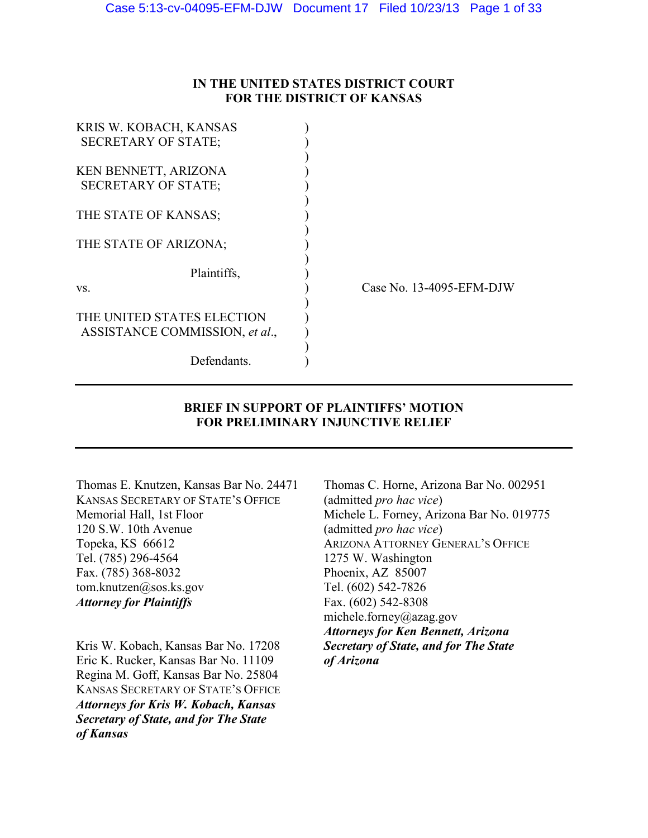### **IN THE UNITED STATES DISTRICT COURT FOR THE DISTRICT OF KANSAS**

| KRIS W. KOBACH, KANSAS         |                          |
|--------------------------------|--------------------------|
| <b>SECRETARY OF STATE:</b>     |                          |
|                                |                          |
| KEN BENNETT, ARIZONA           |                          |
| <b>SECRETARY OF STATE;</b>     |                          |
|                                |                          |
| THE STATE OF KANSAS;           |                          |
|                                |                          |
| THE STATE OF ARIZONA;          |                          |
|                                |                          |
| Plaintiffs,                    |                          |
| VS.                            | Case No. 13-4095-EFM-DJW |
|                                |                          |
| THE UNITED STATES ELECTION     |                          |
| ASSISTANCE COMMISSION, et al., |                          |
|                                |                          |
| Defendants.                    |                          |

### **BRIEF IN SUPPORT OF PLAINTIFFS' MOTION FOR PRELIMINARY INJUNCTIVE RELIEF**

KANSAS SECRETARY OF STATE'S OFFICE (admitted *pro hac vice*) 120 S.W. 10th Avenue (admitted *pro hac vice*) Topeka, KS 66612 ARIZONA ATTORNEY GENERAL'S OFFICE Tel. (785) 296-4564 1275 W. Washington Fax. (785) 368-8032 Phoenix, AZ 85007 tom.knutzen@sos.ks.gov Tel. (602) 542-7826 *Attorney for Plaintiffs* Fax. (602) 542-8308

Kris W. Kobach, Kansas Bar No. 17208 *Secretary of State, and for The State*  Eric K. Rucker, Kansas Bar No. 11109 *of Arizona*  Regina M. Goff, Kansas Bar No. 25804 KANSAS SECRETARY OF STATE'S OFFICE *Attorneys for Kris W. Kobach, Kansas Secretary of State, and for The State of Kansas* 

Thomas E. Knutzen, Kansas Bar No. 24471 Thomas C. Horne, Arizona Bar No. 002951 Memorial Hall, 1st Floor Michele L. Forney, Arizona Bar No. 019775 michele.forney@azag.gov *Attorneys for Ken Bennett, Arizona*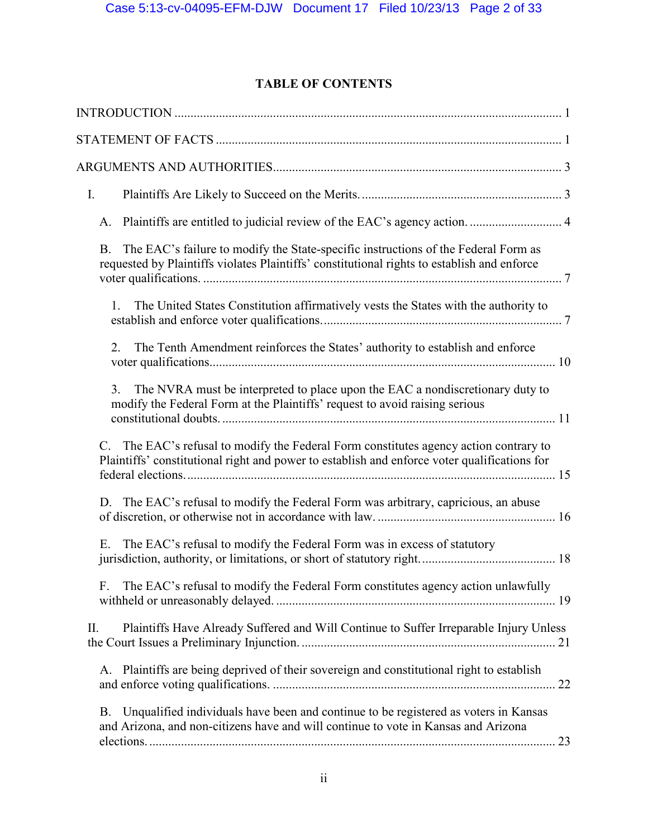## **TABLE OF CONTENTS**

| $\mathbf{I}$ .                                                                                                                                                                                 |  |
|------------------------------------------------------------------------------------------------------------------------------------------------------------------------------------------------|--|
| Plaintiffs are entitled to judicial review of the EAC's agency action 4<br>A.                                                                                                                  |  |
| The EAC's failure to modify the State-specific instructions of the Federal Form as<br><b>B.</b><br>requested by Plaintiffs violates Plaintiffs' constitutional rights to establish and enforce |  |
| The United States Constitution affirmatively vests the States with the authority to<br>1.                                                                                                      |  |
| The Tenth Amendment reinforces the States' authority to establish and enforce<br>2.                                                                                                            |  |
| 3 <sub>1</sub><br>The NVRA must be interpreted to place upon the EAC a nondiscretionary duty to<br>modify the Federal Form at the Plaintiffs' request to avoid raising serious                 |  |
| C. The EAC's refusal to modify the Federal Form constitutes agency action contrary to<br>Plaintiffs' constitutional right and power to establish and enforce voter qualifications for          |  |
| D. The EAC's refusal to modify the Federal Form was arbitrary, capricious, an abuse                                                                                                            |  |
| The EAC's refusal to modify the Federal Form was in excess of statutory<br>Ε.                                                                                                                  |  |
| The EAC's refusal to modify the Federal Form constitutes agency action unlawfully<br>F.                                                                                                        |  |
| Plaintiffs Have Already Suffered and Will Continue to Suffer Irreparable Injury Unless<br>II.                                                                                                  |  |
| A. Plaintiffs are being deprived of their sovereign and constitutional right to establish                                                                                                      |  |
| Unqualified individuals have been and continue to be registered as voters in Kansas<br><b>B.</b><br>and Arizona, and non-citizens have and will continue to vote in Kansas and Arizona         |  |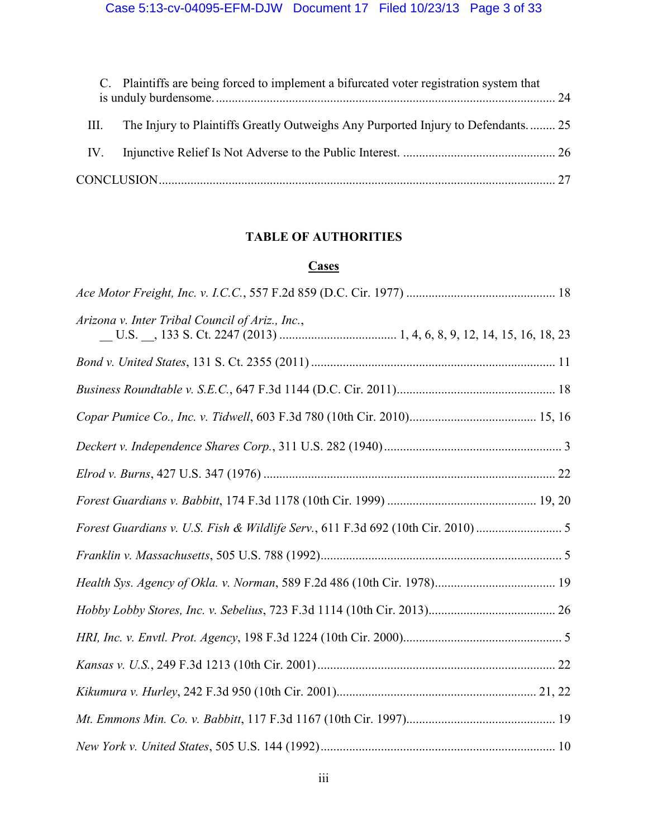|      | C. Plaintiffs are being forced to implement a bifurcated voter registration system that |  |
|------|-----------------------------------------------------------------------------------------|--|
| III. | The Injury to Plaintiffs Greatly Outweighs Any Purported Injury to Defendants 25        |  |
| IV.  |                                                                                         |  |
|      |                                                                                         |  |

## **TABLE OF AUTHORITIES**

## **Cases**

| Arizona v. Inter Tribal Council of Ariz., Inc., |  |
|-------------------------------------------------|--|
|                                                 |  |
|                                                 |  |
|                                                 |  |
|                                                 |  |
|                                                 |  |
|                                                 |  |
|                                                 |  |
|                                                 |  |
|                                                 |  |
|                                                 |  |
|                                                 |  |
|                                                 |  |
|                                                 |  |
|                                                 |  |
|                                                 |  |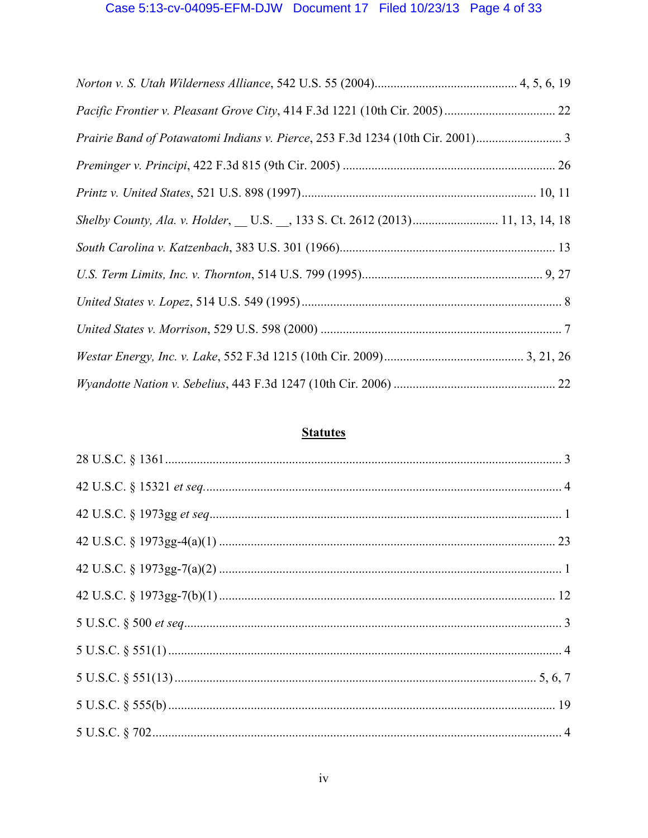# Case 5:13-cv-04095-EFM-DJW Document 17 Filed 10/23/13 Page 4 of 33

| Prairie Band of Potawatomi Indians v. Pierce, 253 F.3d 1234 (10th Cir. 2001)     |  |
|----------------------------------------------------------------------------------|--|
|                                                                                  |  |
|                                                                                  |  |
| Shelby County, Ala. v. Holder, __ U.S. __, 133 S. Ct. 2612 (2013) 11, 13, 14, 18 |  |
|                                                                                  |  |
|                                                                                  |  |
|                                                                                  |  |
|                                                                                  |  |
|                                                                                  |  |
|                                                                                  |  |

# **Statutes**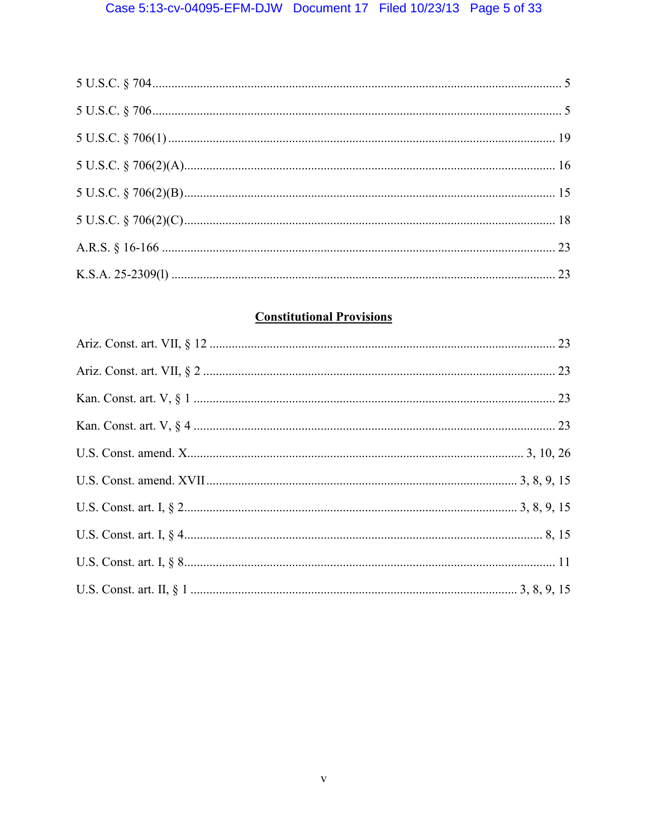# **Constitutional Provisions**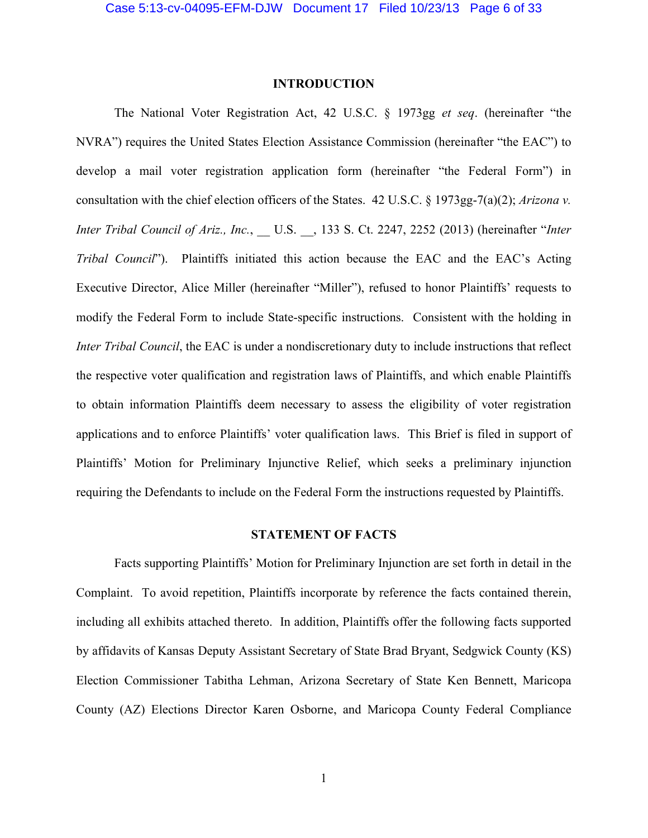#### **INTRODUCTION**

The National Voter Registration Act, 42 U.S.C. § 1973gg *et seq*. (hereinafter "the NVRA") requires the United States Election Assistance Commission (hereinafter "the EAC") to develop a mail voter registration application form (hereinafter "the Federal Form") in consultation with the chief election officers of the States. 42 U.S.C. § 1973gg-7(a)(2); *Arizona v. Inter Tribal Council of Ariz., Inc.*, \_\_ U.S. \_\_, 133 S. Ct. 2247, 2252 (2013) (hereinafter "*Inter Tribal Council*"). Plaintiffs initiated this action because the EAC and the EAC's Acting Executive Director, Alice Miller (hereinafter "Miller"), refused to honor Plaintiffs' requests to modify the Federal Form to include State-specific instructions. Consistent with the holding in *Inter Tribal Council*, the EAC is under a nondiscretionary duty to include instructions that reflect the respective voter qualification and registration laws of Plaintiffs, and which enable Plaintiffs to obtain information Plaintiffs deem necessary to assess the eligibility of voter registration applications and to enforce Plaintiffs' voter qualification laws. This Brief is filed in support of Plaintiffs' Motion for Preliminary Injunctive Relief, which seeks a preliminary injunction requiring the Defendants to include on the Federal Form the instructions requested by Plaintiffs.

#### **STATEMENT OF FACTS**

Facts supporting Plaintiffs' Motion for Preliminary Injunction are set forth in detail in the Complaint. To avoid repetition, Plaintiffs incorporate by reference the facts contained therein, including all exhibits attached thereto. In addition, Plaintiffs offer the following facts supported by affidavits of Kansas Deputy Assistant Secretary of State Brad Bryant, Sedgwick County (KS) Election Commissioner Tabitha Lehman, Arizona Secretary of State Ken Bennett, Maricopa County (AZ) Elections Director Karen Osborne, and Maricopa County Federal Compliance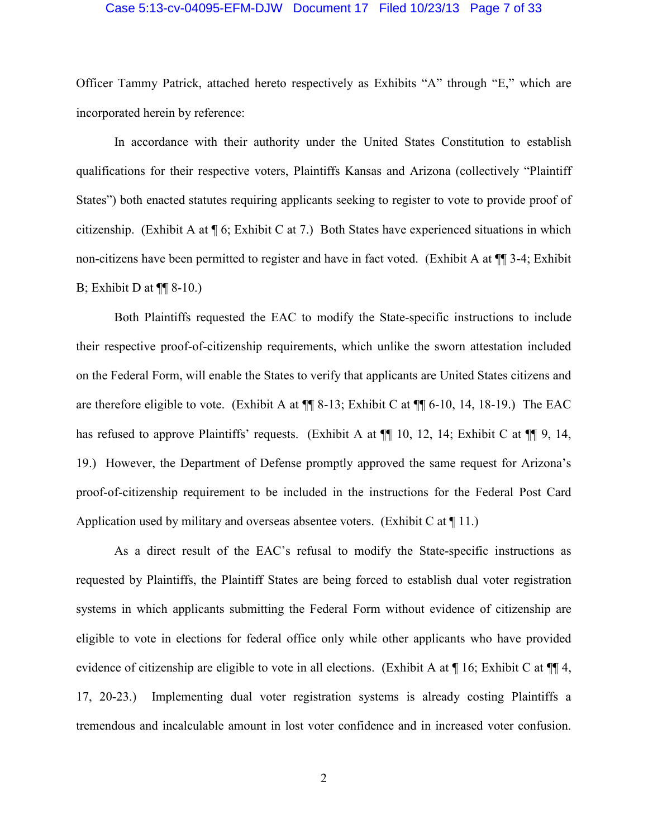#### Case 5:13-cv-04095-EFM-DJW Document 17 Filed 10/23/13 Page 7 of 33

Officer Tammy Patrick, attached hereto respectively as Exhibits "A" through "E," which are incorporated herein by reference:

In accordance with their authority under the United States Constitution to establish qualifications for their respective voters, Plaintiffs Kansas and Arizona (collectively "Plaintiff States") both enacted statutes requiring applicants seeking to register to vote to provide proof of citizenship. (Exhibit A at ¶ 6; Exhibit C at 7.) Both States have experienced situations in which non-citizens have been permitted to register and have in fact voted. (Exhibit A at ¶¶ 3-4; Exhibit B; Exhibit D at  $\P\P$  8-10.)

Both Plaintiffs requested the EAC to modify the State-specific instructions to include their respective proof-of-citizenship requirements, which unlike the sworn attestation included on the Federal Form, will enable the States to verify that applicants are United States citizens and are therefore eligible to vote. (Exhibit A at ¶¶ 8-13; Exhibit C at ¶¶ 6-10, 14, 18-19.) The EAC has refused to approve Plaintiffs' requests. (Exhibit A at  $\P$  10, 12, 14; Exhibit C at  $\P$  9, 14, 19.) However, the Department of Defense promptly approved the same request for Arizona's proof-of-citizenship requirement to be included in the instructions for the Federal Post Card Application used by military and overseas absentee voters. (Exhibit C at  $\P$  11.)

As a direct result of the EAC's refusal to modify the State-specific instructions as requested by Plaintiffs, the Plaintiff States are being forced to establish dual voter registration systems in which applicants submitting the Federal Form without evidence of citizenship are eligible to vote in elections for federal office only while other applicants who have provided evidence of citizenship are eligible to vote in all elections. (Exhibit A at ¶ 16; Exhibit C at ¶¶ 4, 17, 20-23.) Implementing dual voter registration systems is already costing Plaintiffs a tremendous and incalculable amount in lost voter confidence and in increased voter confusion.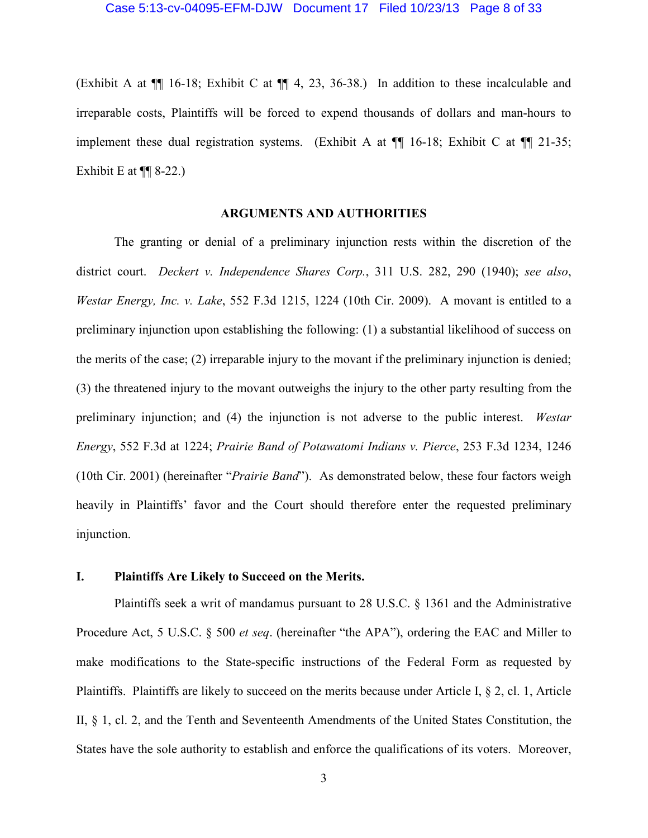(Exhibit A at ¶¶ 16-18; Exhibit C at ¶¶ 4, 23, 36-38.) In addition to these incalculable and irreparable costs, Plaintiffs will be forced to expend thousands of dollars and man-hours to implement these dual registration systems. (Exhibit A at  $\P$  16-18; Exhibit C at  $\P$  21-35; Exhibit E at  $\P\P$  8-22.)

#### **ARGUMENTS AND AUTHORITIES**

The granting or denial of a preliminary injunction rests within the discretion of the district court. *Deckert v. Independence Shares Corp.*, 311 U.S. 282, 290 (1940); *see also*, *Westar Energy, Inc. v. Lake*, 552 F.3d 1215, 1224 (10th Cir. 2009). A movant is entitled to a preliminary injunction upon establishing the following: (1) a substantial likelihood of success on the merits of the case; (2) irreparable injury to the movant if the preliminary injunction is denied; (3) the threatened injury to the movant outweighs the injury to the other party resulting from the preliminary injunction; and (4) the injunction is not adverse to the public interest. *Westar Energy*, 552 F.3d at 1224; *Prairie Band of Potawatomi Indians v. Pierce*, 253 F.3d 1234, 1246 (10th Cir. 2001) (hereinafter "*Prairie Band*"). As demonstrated below, these four factors weigh heavily in Plaintiffs' favor and the Court should therefore enter the requested preliminary injunction.

### **I. Plaintiffs Are Likely to Succeed on the Merits.**

Plaintiffs seek a writ of mandamus pursuant to 28 U.S.C. § 1361 and the Administrative Procedure Act, 5 U.S.C. § 500 *et seq*. (hereinafter "the APA"), ordering the EAC and Miller to make modifications to the State-specific instructions of the Federal Form as requested by Plaintiffs. Plaintiffs are likely to succeed on the merits because under Article I, § 2, cl. 1, Article II, § 1, cl. 2, and the Tenth and Seventeenth Amendments of the United States Constitution, the States have the sole authority to establish and enforce the qualifications of its voters. Moreover,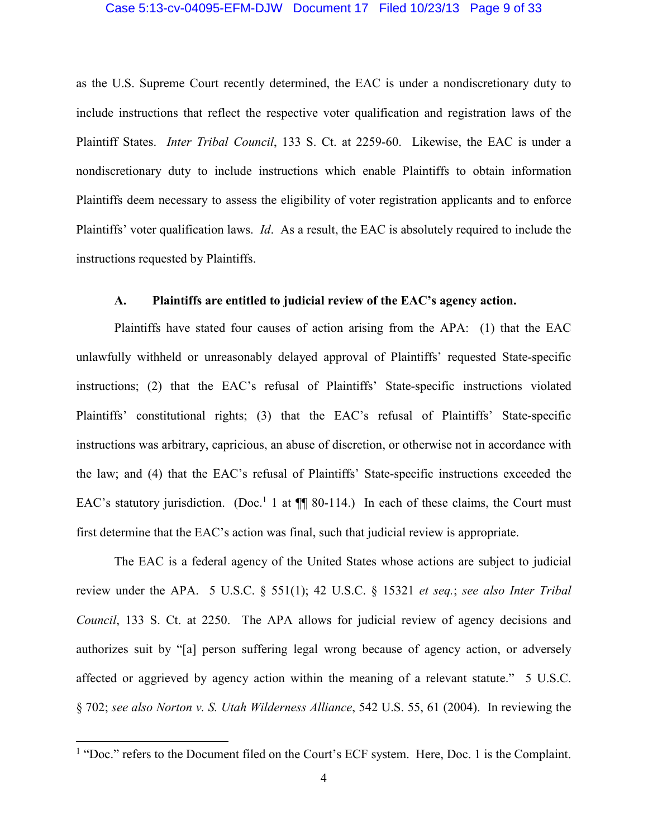#### Case 5:13-cv-04095-EFM-DJW Document 17 Filed 10/23/13 Page 9 of 33

as the U.S. Supreme Court recently determined, the EAC is under a nondiscretionary duty to include instructions that reflect the respective voter qualification and registration laws of the Plaintiff States. *Inter Tribal Council*, 133 S. Ct. at 2259-60. Likewise, the EAC is under a nondiscretionary duty to include instructions which enable Plaintiffs to obtain information Plaintiffs deem necessary to assess the eligibility of voter registration applicants and to enforce Plaintiffs' voter qualification laws. *Id*. As a result, the EAC is absolutely required to include the instructions requested by Plaintiffs.

### **A. Plaintiffs are entitled to judicial review of the EAC's agency action.**

Plaintiffs have stated four causes of action arising from the APA: (1) that the EAC unlawfully withheld or unreasonably delayed approval of Plaintiffs' requested State-specific instructions; (2) that the EAC's refusal of Plaintiffs' State-specific instructions violated Plaintiffs' constitutional rights; (3) that the EAC's refusal of Plaintiffs' State-specific instructions was arbitrary, capricious, an abuse of discretion, or otherwise not in accordance with the law; and (4) that the EAC's refusal of Plaintiffs' State-specific instructions exceeded the EAC's statutory jurisdiction. (Doc.<sup>1</sup> 1 at  $\P\P$  80-114.) In each of these claims, the Court must first determine that the EAC's action was final, such that judicial review is appropriate.

The EAC is a federal agency of the United States whose actions are subject to judicial review under the APA. 5 U.S.C. § 551(1); 42 U.S.C. § 15321 *et seq.*; *see also Inter Tribal Council*, 133 S. Ct. at 2250. The APA allows for judicial review of agency decisions and authorizes suit by "[a] person suffering legal wrong because of agency action, or adversely affected or aggrieved by agency action within the meaning of a relevant statute." 5 U.S.C. § 702; *see also Norton v. S. Utah Wilderness Alliance*, 542 U.S. 55, 61 (2004). In reviewing the

 $\overline{a}$ 

<sup>&</sup>lt;sup>1</sup> "Doc." refers to the Document filed on the Court's ECF system. Here, Doc. 1 is the Complaint.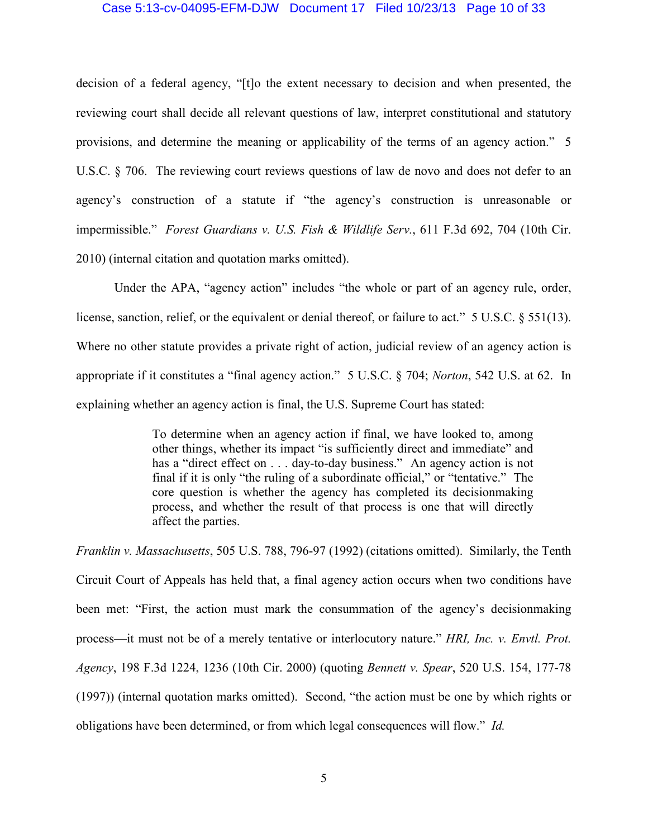#### Case 5:13-cv-04095-EFM-DJW Document 17 Filed 10/23/13 Page 10 of 33

decision of a federal agency, "[t]o the extent necessary to decision and when presented, the reviewing court shall decide all relevant questions of law, interpret constitutional and statutory provisions, and determine the meaning or applicability of the terms of an agency action." 5 U.S.C. § 706. The reviewing court reviews questions of law de novo and does not defer to an agency's construction of a statute if "the agency's construction is unreasonable or impermissible." *Forest Guardians v. U.S. Fish & Wildlife Serv.*, 611 F.3d 692, 704 (10th Cir. 2010) (internal citation and quotation marks omitted).

Under the APA, "agency action" includes "the whole or part of an agency rule, order, license, sanction, relief, or the equivalent or denial thereof, or failure to act." 5 U.S.C. § 551(13). Where no other statute provides a private right of action, judicial review of an agency action is appropriate if it constitutes a "final agency action." 5 U.S.C. § 704; *Norton*, 542 U.S. at 62. In explaining whether an agency action is final, the U.S. Supreme Court has stated:

> To determine when an agency action if final, we have looked to, among other things, whether its impact "is sufficiently direct and immediate" and has a "direct effect on . . . day-to-day business." An agency action is not final if it is only "the ruling of a subordinate official," or "tentative." The core question is whether the agency has completed its decisionmaking process, and whether the result of that process is one that will directly affect the parties.

*Franklin v. Massachusetts*, 505 U.S. 788, 796-97 (1992) (citations omitted). Similarly, the Tenth Circuit Court of Appeals has held that, a final agency action occurs when two conditions have been met: "First, the action must mark the consummation of the agency's decisionmaking process—it must not be of a merely tentative or interlocutory nature." *HRI, Inc. v. Envtl. Prot. Agency*, 198 F.3d 1224, 1236 (10th Cir. 2000) (quoting *Bennett v. Spear*, 520 U.S. 154, 177-78 (1997)) (internal quotation marks omitted). Second, "the action must be one by which rights or obligations have been determined, or from which legal consequences will flow." *Id.*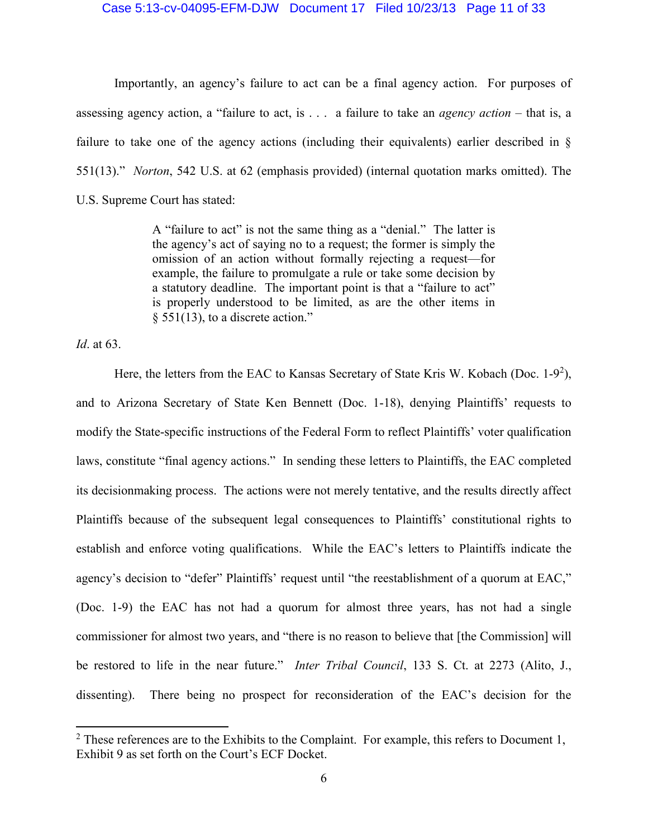#### Case 5:13-cv-04095-EFM-DJW Document 17 Filed 10/23/13 Page 11 of 33

Importantly, an agency's failure to act can be a final agency action. For purposes of assessing agency action, a "failure to act, is . . . a failure to take an *agency action* – that is, a failure to take one of the agency actions (including their equivalents) earlier described in § 551(13)." *Norton*, 542 U.S. at 62 (emphasis provided) (internal quotation marks omitted). The U.S. Supreme Court has stated:

> A "failure to act" is not the same thing as a "denial." The latter is the agency's act of saying no to a request; the former is simply the omission of an action without formally rejecting a request—for example, the failure to promulgate a rule or take some decision by a statutory deadline. The important point is that a "failure to act" is properly understood to be limited, as are the other items in § 551(13), to a discrete action."

*Id*. at 63.

 $\overline{a}$ 

Here, the letters from the EAC to Kansas Secretary of State Kris W. Kobach (Doc.  $1-9^2$ ), and to Arizona Secretary of State Ken Bennett (Doc. 1-18), denying Plaintiffs' requests to modify the State-specific instructions of the Federal Form to reflect Plaintiffs' voter qualification laws, constitute "final agency actions." In sending these letters to Plaintiffs, the EAC completed its decisionmaking process. The actions were not merely tentative, and the results directly affect Plaintiffs because of the subsequent legal consequences to Plaintiffs' constitutional rights to establish and enforce voting qualifications. While the EAC's letters to Plaintiffs indicate the agency's decision to "defer" Plaintiffs' request until "the reestablishment of a quorum at EAC," (Doc. 1-9) the EAC has not had a quorum for almost three years, has not had a single commissioner for almost two years, and "there is no reason to believe that [the Commission] will be restored to life in the near future." *Inter Tribal Council*, 133 S. Ct. at 2273 (Alito, J., dissenting). There being no prospect for reconsideration of the EAC's decision for the

 $2$  These references are to the Exhibits to the Complaint. For example, this refers to Document 1, Exhibit 9 as set forth on the Court's ECF Docket.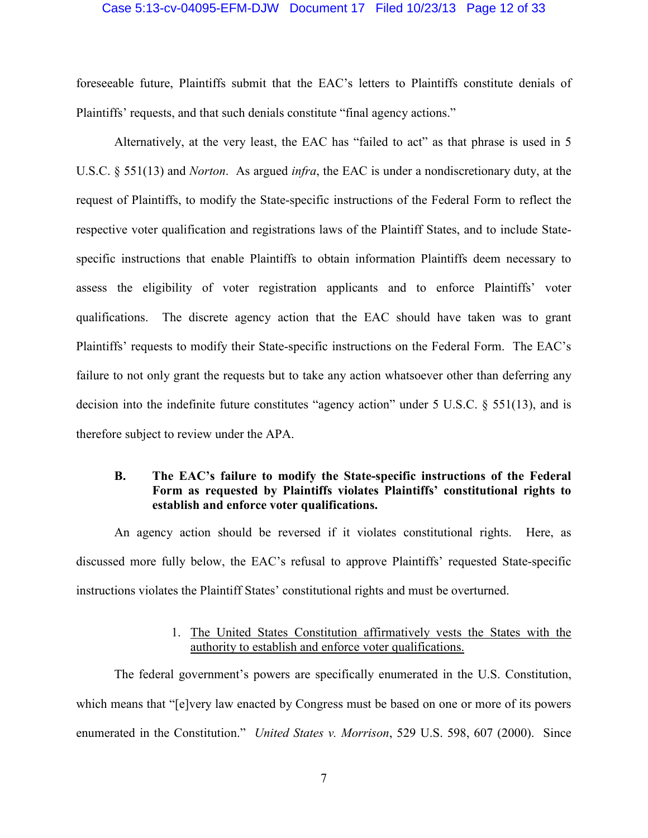#### Case 5:13-cv-04095-EFM-DJW Document 17 Filed 10/23/13 Page 12 of 33

foreseeable future, Plaintiffs submit that the EAC's letters to Plaintiffs constitute denials of Plaintiffs' requests, and that such denials constitute "final agency actions."

Alternatively, at the very least, the EAC has "failed to act" as that phrase is used in 5 U.S.C. § 551(13) and *Norton*. As argued *infra*, the EAC is under a nondiscretionary duty, at the request of Plaintiffs, to modify the State-specific instructions of the Federal Form to reflect the respective voter qualification and registrations laws of the Plaintiff States, and to include Statespecific instructions that enable Plaintiffs to obtain information Plaintiffs deem necessary to assess the eligibility of voter registration applicants and to enforce Plaintiffs' voter qualifications. The discrete agency action that the EAC should have taken was to grant Plaintiffs' requests to modify their State-specific instructions on the Federal Form. The EAC's failure to not only grant the requests but to take any action whatsoever other than deferring any decision into the indefinite future constitutes "agency action" under 5 U.S.C. § 551(13), and is therefore subject to review under the APA.

### **B. The EAC's failure to modify the State-specific instructions of the Federal Form as requested by Plaintiffs violates Plaintiffs' constitutional rights to establish and enforce voter qualifications.**

An agency action should be reversed if it violates constitutional rights. Here, as discussed more fully below, the EAC's refusal to approve Plaintiffs' requested State-specific instructions violates the Plaintiff States' constitutional rights and must be overturned.

### 1. The United States Constitution affirmatively vests the States with the authority to establish and enforce voter qualifications.

The federal government's powers are specifically enumerated in the U.S. Constitution, which means that "[e]very law enacted by Congress must be based on one or more of its powers enumerated in the Constitution." *United States v. Morrison*, 529 U.S. 598, 607 (2000). Since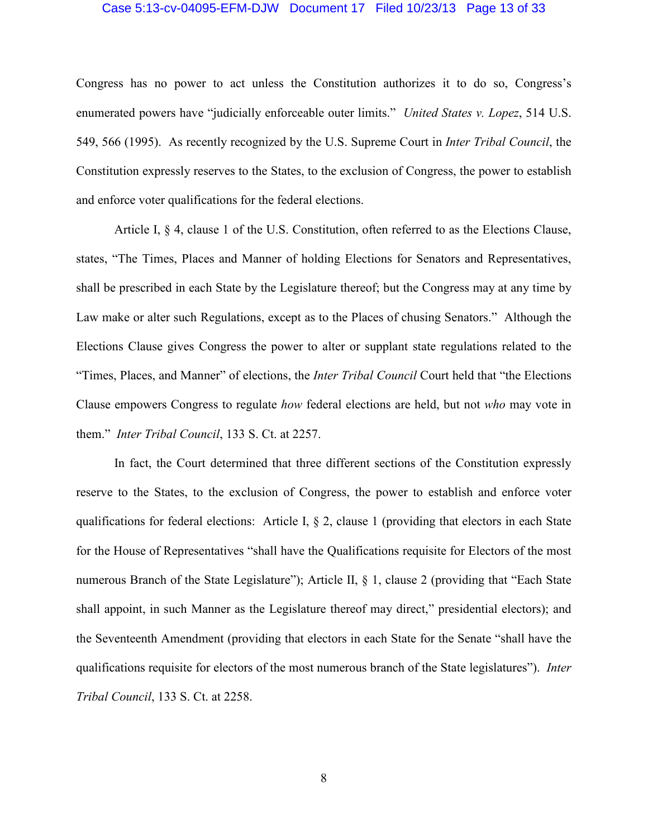#### Case 5:13-cv-04095-EFM-DJW Document 17 Filed 10/23/13 Page 13 of 33

Congress has no power to act unless the Constitution authorizes it to do so, Congress's enumerated powers have "judicially enforceable outer limits." *United States v. Lopez*, 514 U.S. 549, 566 (1995). As recently recognized by the U.S. Supreme Court in *Inter Tribal Council*, the Constitution expressly reserves to the States, to the exclusion of Congress, the power to establish and enforce voter qualifications for the federal elections.

Article I, § 4, clause 1 of the U.S. Constitution, often referred to as the Elections Clause, states, "The Times, Places and Manner of holding Elections for Senators and Representatives, shall be prescribed in each State by the Legislature thereof; but the Congress may at any time by Law make or alter such Regulations, except as to the Places of chusing Senators." Although the Elections Clause gives Congress the power to alter or supplant state regulations related to the "Times, Places, and Manner" of elections, the *Inter Tribal Council* Court held that "the Elections Clause empowers Congress to regulate *how* federal elections are held, but not *who* may vote in them." *Inter Tribal Council*, 133 S. Ct. at 2257.

In fact, the Court determined that three different sections of the Constitution expressly reserve to the States, to the exclusion of Congress, the power to establish and enforce voter qualifications for federal elections: Article I, § 2, clause 1 (providing that electors in each State for the House of Representatives "shall have the Qualifications requisite for Electors of the most numerous Branch of the State Legislature"); Article II, § 1, clause 2 (providing that "Each State" shall appoint, in such Manner as the Legislature thereof may direct," presidential electors); and the Seventeenth Amendment (providing that electors in each State for the Senate "shall have the qualifications requisite for electors of the most numerous branch of the State legislatures"). *Inter Tribal Council*, 133 S. Ct. at 2258.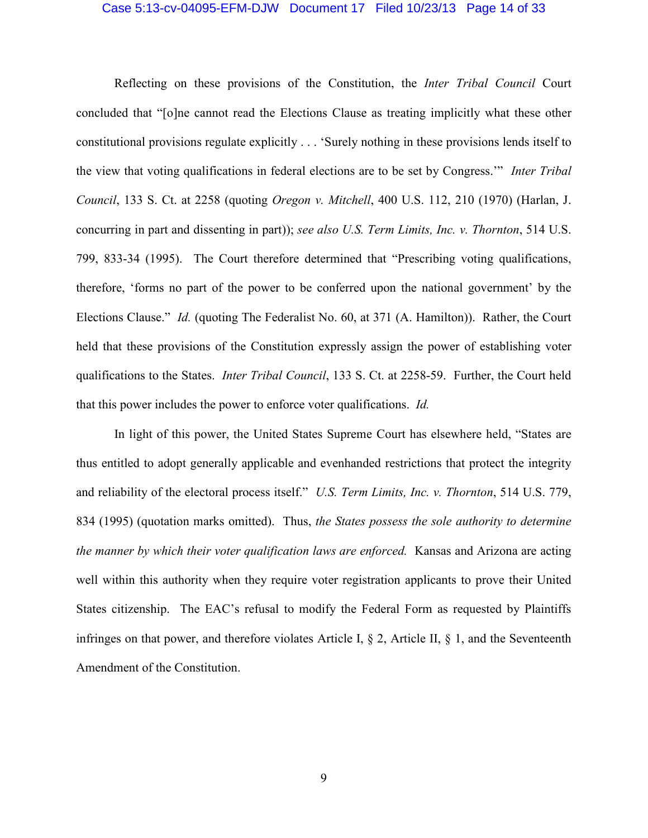#### Case 5:13-cv-04095-EFM-DJW Document 17 Filed 10/23/13 Page 14 of 33

Reflecting on these provisions of the Constitution, the *Inter Tribal Council* Court concluded that "[o]ne cannot read the Elections Clause as treating implicitly what these other constitutional provisions regulate explicitly . . . 'Surely nothing in these provisions lends itself to the view that voting qualifications in federal elections are to be set by Congress.'" *Inter Tribal Council*, 133 S. Ct. at 2258 (quoting *Oregon v. Mitchell*, 400 U.S. 112, 210 (1970) (Harlan, J. concurring in part and dissenting in part)); *see also U.S. Term Limits, Inc. v. Thornton*, 514 U.S. 799, 833-34 (1995). The Court therefore determined that "Prescribing voting qualifications, therefore, 'forms no part of the power to be conferred upon the national government' by the Elections Clause." *Id.* (quoting The Federalist No. 60, at 371 (A. Hamilton)). Rather, the Court held that these provisions of the Constitution expressly assign the power of establishing voter qualifications to the States. *Inter Tribal Council*, 133 S. Ct. at 2258-59. Further, the Court held that this power includes the power to enforce voter qualifications. *Id.*

In light of this power, the United States Supreme Court has elsewhere held, "States are thus entitled to adopt generally applicable and evenhanded restrictions that protect the integrity and reliability of the electoral process itself." *U.S. Term Limits, Inc. v. Thornton*, 514 U.S. 779, 834 (1995) (quotation marks omitted). Thus, *the States possess the sole authority to determine the manner by which their voter qualification laws are enforced.* Kansas and Arizona are acting well within this authority when they require voter registration applicants to prove their United States citizenship. The EAC's refusal to modify the Federal Form as requested by Plaintiffs infringes on that power, and therefore violates Article I, § 2, Article II, § 1, and the Seventeenth Amendment of the Constitution.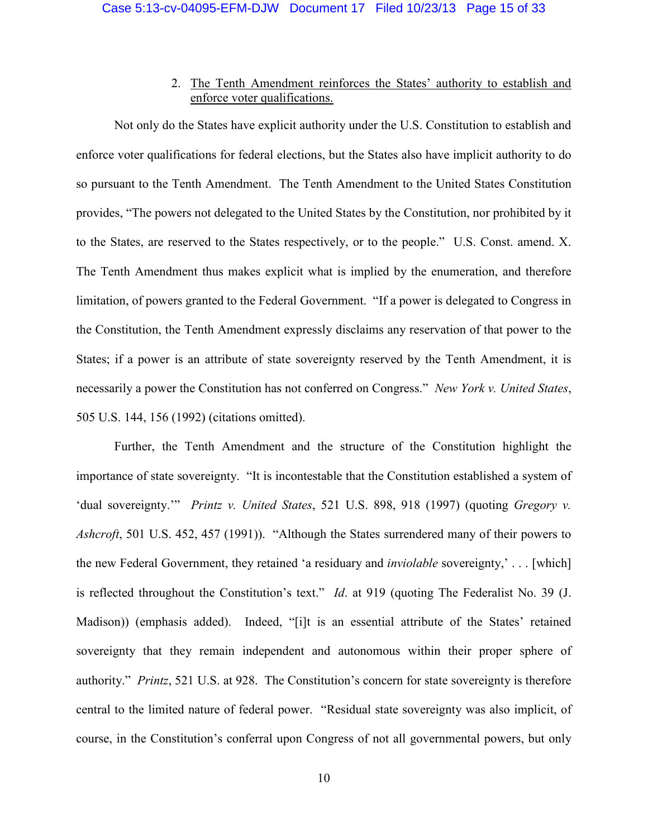### 2. The Tenth Amendment reinforces the States' authority to establish and enforce voter qualifications.

Not only do the States have explicit authority under the U.S. Constitution to establish and enforce voter qualifications for federal elections, but the States also have implicit authority to do so pursuant to the Tenth Amendment. The Tenth Amendment to the United States Constitution provides, "The powers not delegated to the United States by the Constitution, nor prohibited by it to the States, are reserved to the States respectively, or to the people." U.S. Const. amend. X. The Tenth Amendment thus makes explicit what is implied by the enumeration, and therefore limitation, of powers granted to the Federal Government. "If a power is delegated to Congress in the Constitution, the Tenth Amendment expressly disclaims any reservation of that power to the States; if a power is an attribute of state sovereignty reserved by the Tenth Amendment, it is necessarily a power the Constitution has not conferred on Congress." *New York v. United States*, 505 U.S. 144, 156 (1992) (citations omitted).

Further, the Tenth Amendment and the structure of the Constitution highlight the importance of state sovereignty. "It is incontestable that the Constitution established a system of 'dual sovereignty.'" *Printz v. United States*, 521 U.S. 898, 918 (1997) (quoting *Gregory v. Ashcroft*, 501 U.S. 452, 457 (1991)). "Although the States surrendered many of their powers to the new Federal Government, they retained 'a residuary and *inviolable* sovereignty,' . . . [which] is reflected throughout the Constitution's text." *Id*. at 919 (quoting The Federalist No. 39 (J. Madison)) (emphasis added). Indeed, "[i]t is an essential attribute of the States' retained sovereignty that they remain independent and autonomous within their proper sphere of authority." *Printz*, 521 U.S. at 928. The Constitution's concern for state sovereignty is therefore central to the limited nature of federal power. "Residual state sovereignty was also implicit, of course, in the Constitution's conferral upon Congress of not all governmental powers, but only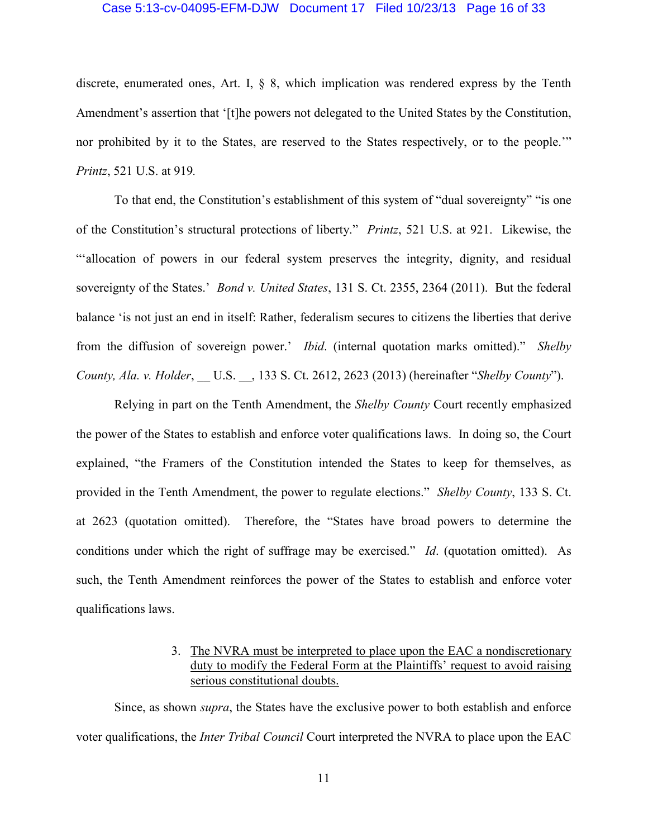#### Case 5:13-cv-04095-EFM-DJW Document 17 Filed 10/23/13 Page 16 of 33

discrete, enumerated ones, Art. I, § 8, which implication was rendered express by the Tenth Amendment's assertion that '[t]he powers not delegated to the United States by the Constitution, nor prohibited by it to the States, are reserved to the States respectively, or to the people.'" *Printz*, 521 U.S. at 919*.*

To that end, the Constitution's establishment of this system of "dual sovereignty" "is one of the Constitution's structural protections of liberty." *Printz*, 521 U.S. at 921. Likewise, the "'allocation of powers in our federal system preserves the integrity, dignity, and residual sovereignty of the States.' *Bond v. United States*, 131 S. Ct. 2355, 2364 (2011). But the federal balance 'is not just an end in itself: Rather, federalism secures to citizens the liberties that derive from the diffusion of sovereign power.' *Ibid*. (internal quotation marks omitted)." *Shelby County, Ala. v. Holder*, \_\_ U.S. \_\_, 133 S. Ct. 2612, 2623 (2013) (hereinafter "*Shelby County*").

Relying in part on the Tenth Amendment, the *Shelby County* Court recently emphasized the power of the States to establish and enforce voter qualifications laws. In doing so, the Court explained, "the Framers of the Constitution intended the States to keep for themselves, as provided in the Tenth Amendment, the power to regulate elections." *Shelby County*, 133 S. Ct. at 2623 (quotation omitted). Therefore, the "States have broad powers to determine the conditions under which the right of suffrage may be exercised." *Id*. (quotation omitted). As such, the Tenth Amendment reinforces the power of the States to establish and enforce voter qualifications laws.

### 3. The NVRA must be interpreted to place upon the EAC a nondiscretionary duty to modify the Federal Form at the Plaintiffs' request to avoid raising serious constitutional doubts.

Since, as shown *supra*, the States have the exclusive power to both establish and enforce voter qualifications, the *Inter Tribal Council* Court interpreted the NVRA to place upon the EAC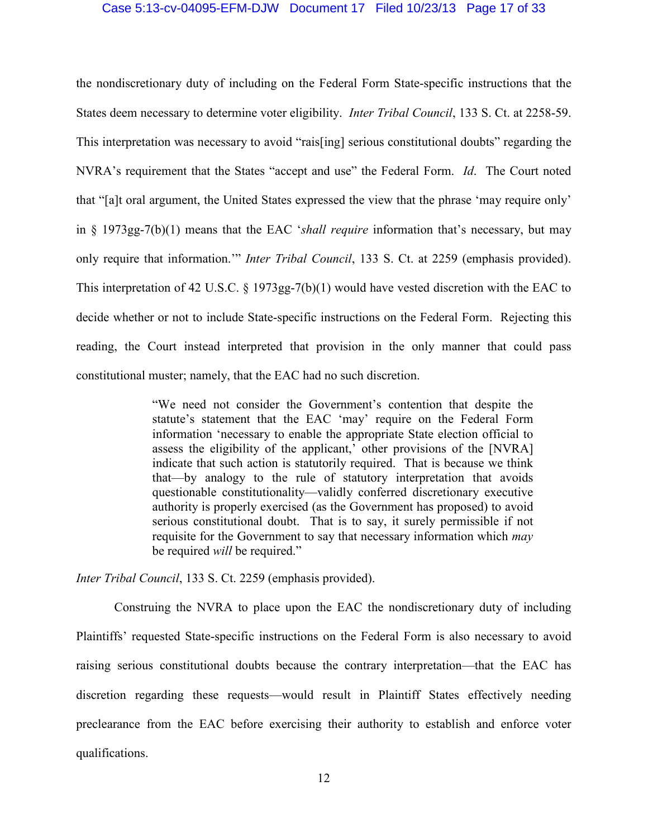#### Case 5:13-cv-04095-EFM-DJW Document 17 Filed 10/23/13 Page 17 of 33

the nondiscretionary duty of including on the Federal Form State-specific instructions that the States deem necessary to determine voter eligibility. *Inter Tribal Council*, 133 S. Ct. at 2258-59. This interpretation was necessary to avoid "rais[ing] serious constitutional doubts" regarding the NVRA's requirement that the States "accept and use" the Federal Form. *Id*. The Court noted that "[a]t oral argument, the United States expressed the view that the phrase 'may require only' in § 1973gg-7(b)(1) means that the EAC '*shall require* information that's necessary, but may only require that information.'" *Inter Tribal Council*, 133 S. Ct. at 2259 (emphasis provided). This interpretation of 42 U.S.C. § 1973gg-7(b)(1) would have vested discretion with the EAC to decide whether or not to include State-specific instructions on the Federal Form. Rejecting this reading, the Court instead interpreted that provision in the only manner that could pass constitutional muster; namely, that the EAC had no such discretion.

> "We need not consider the Government's contention that despite the statute's statement that the EAC 'may' require on the Federal Form information 'necessary to enable the appropriate State election official to assess the eligibility of the applicant,' other provisions of the [NVRA] indicate that such action is statutorily required. That is because we think that—by analogy to the rule of statutory interpretation that avoids questionable constitutionality—validly conferred discretionary executive authority is properly exercised (as the Government has proposed) to avoid serious constitutional doubt. That is to say, it surely permissible if not requisite for the Government to say that necessary information which *may*  be required *will* be required."

*Inter Tribal Council*, 133 S. Ct. 2259 (emphasis provided).

Construing the NVRA to place upon the EAC the nondiscretionary duty of including Plaintiffs' requested State-specific instructions on the Federal Form is also necessary to avoid raising serious constitutional doubts because the contrary interpretation—that the EAC has discretion regarding these requests—would result in Plaintiff States effectively needing preclearance from the EAC before exercising their authority to establish and enforce voter qualifications.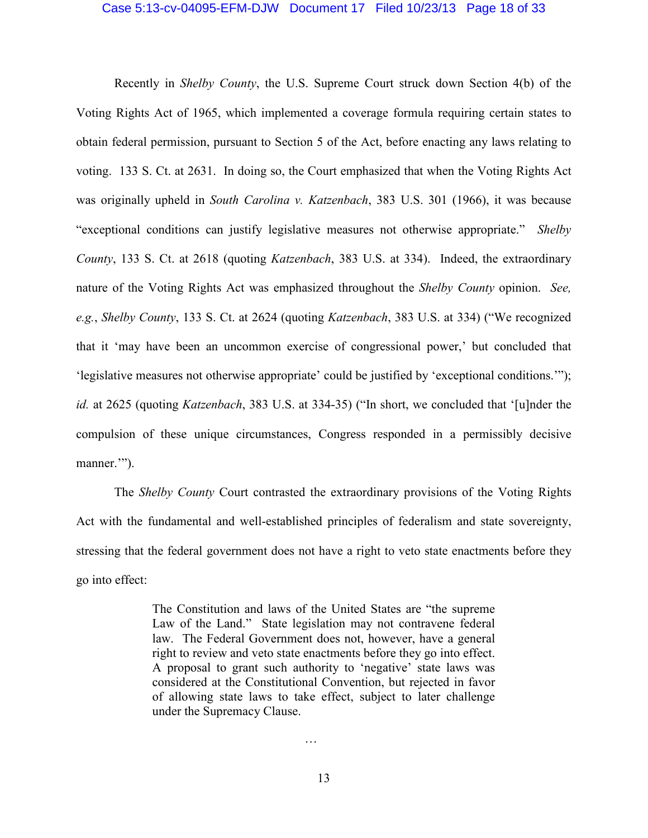#### Case 5:13-cv-04095-EFM-DJW Document 17 Filed 10/23/13 Page 18 of 33

Recently in *Shelby County*, the U.S. Supreme Court struck down Section 4(b) of the Voting Rights Act of 1965, which implemented a coverage formula requiring certain states to obtain federal permission, pursuant to Section 5 of the Act, before enacting any laws relating to voting. 133 S. Ct. at 2631. In doing so, the Court emphasized that when the Voting Rights Act was originally upheld in *South Carolina v. Katzenbach*, 383 U.S. 301 (1966), it was because "exceptional conditions can justify legislative measures not otherwise appropriate." *Shelby County*, 133 S. Ct. at 2618 (quoting *Katzenbach*, 383 U.S. at 334). Indeed, the extraordinary nature of the Voting Rights Act was emphasized throughout the *Shelby County* opinion. *See, e.g.*, *Shelby County*, 133 S. Ct. at 2624 (quoting *Katzenbach*, 383 U.S. at 334) ("We recognized that it 'may have been an uncommon exercise of congressional power,' but concluded that 'legislative measures not otherwise appropriate' could be justified by 'exceptional conditions.'"); *id.* at 2625 (quoting *Katzenbach*, 383 U.S. at 334-35) ("In short, we concluded that '[u]nder the compulsion of these unique circumstances, Congress responded in a permissibly decisive manner."").

The *Shelby County* Court contrasted the extraordinary provisions of the Voting Rights Act with the fundamental and well-established principles of federalism and state sovereignty, stressing that the federal government does not have a right to veto state enactments before they go into effect:

> The Constitution and laws of the United States are "the supreme Law of the Land." State legislation may not contravene federal law. The Federal Government does not, however, have a general right to review and veto state enactments before they go into effect. A proposal to grant such authority to 'negative' state laws was considered at the Constitutional Convention, but rejected in favor of allowing state laws to take effect, subject to later challenge under the Supremacy Clause.

…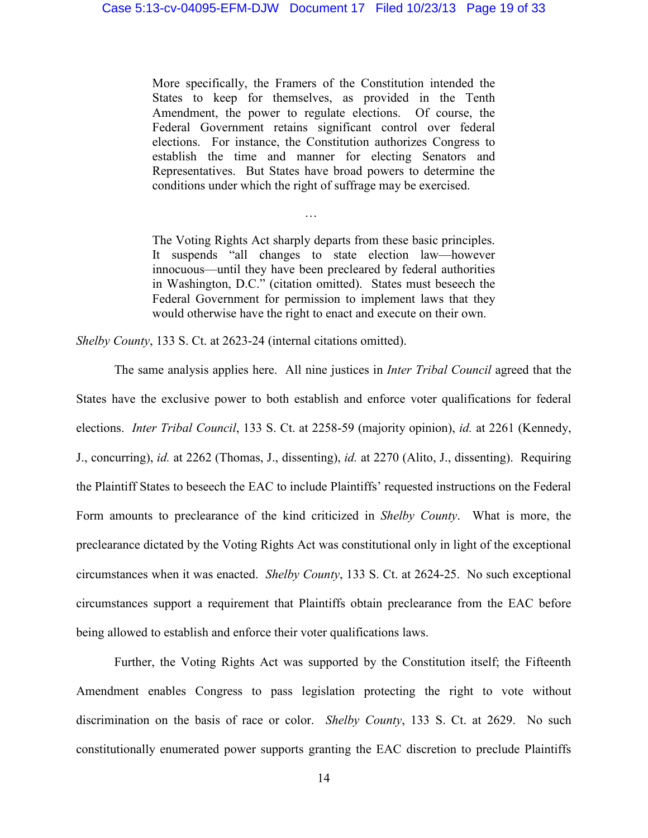More specifically, the Framers of the Constitution intended the States to keep for themselves, as provided in the Tenth Amendment, the power to regulate elections. Of course, the Federal Government retains significant control over federal elections. For instance, the Constitution authorizes Congress to establish the time and manner for electing Senators and Representatives. But States have broad powers to determine the conditions under which the right of suffrage may be exercised.

The Voting Rights Act sharply departs from these basic principles. It suspends "all changes to state election law—however innocuous—until they have been precleared by federal authorities in Washington, D.C." (citation omitted). States must beseech the Federal Government for permission to implement laws that they would otherwise have the right to enact and execute on their own.

…

*Shelby County*, 133 S. Ct. at 2623-24 (internal citations omitted).

The same analysis applies here. All nine justices in *Inter Tribal Council* agreed that the States have the exclusive power to both establish and enforce voter qualifications for federal elections. *Inter Tribal Council*, 133 S. Ct. at 2258-59 (majority opinion), *id.* at 2261 (Kennedy, J., concurring), *id.* at 2262 (Thomas, J., dissenting), *id.* at 2270 (Alito, J., dissenting). Requiring the Plaintiff States to beseech the EAC to include Plaintiffs' requested instructions on the Federal Form amounts to preclearance of the kind criticized in *Shelby County*. What is more, the preclearance dictated by the Voting Rights Act was constitutional only in light of the exceptional circumstances when it was enacted. *Shelby County*, 133 S. Ct. at 2624-25. No such exceptional circumstances support a requirement that Plaintiffs obtain preclearance from the EAC before being allowed to establish and enforce their voter qualifications laws.

Further, the Voting Rights Act was supported by the Constitution itself; the Fifteenth Amendment enables Congress to pass legislation protecting the right to vote without discrimination on the basis of race or color. *Shelby County*, 133 S. Ct. at 2629. No such constitutionally enumerated power supports granting the EAC discretion to preclude Plaintiffs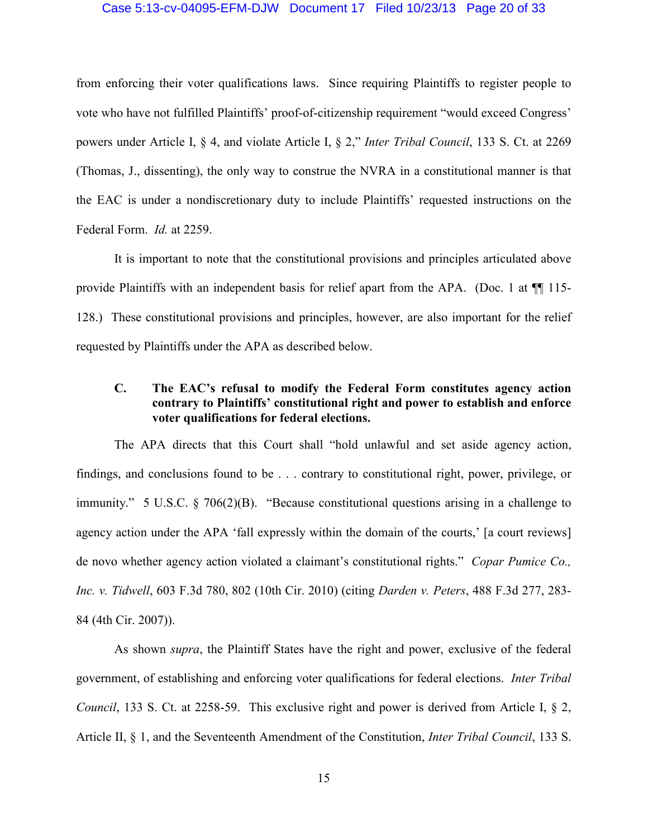#### Case 5:13-cv-04095-EFM-DJW Document 17 Filed 10/23/13 Page 20 of 33

from enforcing their voter qualifications laws. Since requiring Plaintiffs to register people to vote who have not fulfilled Plaintiffs' proof-of-citizenship requirement "would exceed Congress' powers under Article I, § 4, and violate Article I, § 2," *Inter Tribal Council*, 133 S. Ct. at 2269 (Thomas, J., dissenting), the only way to construe the NVRA in a constitutional manner is that the EAC is under a nondiscretionary duty to include Plaintiffs' requested instructions on the Federal Form. *Id.* at 2259.

It is important to note that the constitutional provisions and principles articulated above provide Plaintiffs with an independent basis for relief apart from the APA. (Doc. 1 at  $\P\P$  115-128.) These constitutional provisions and principles, however, are also important for the relief requested by Plaintiffs under the APA as described below.

### **C. The EAC's refusal to modify the Federal Form constitutes agency action contrary to Plaintiffs' constitutional right and power to establish and enforce voter qualifications for federal elections.**

The APA directs that this Court shall "hold unlawful and set aside agency action, findings, and conclusions found to be . . . contrary to constitutional right, power, privilege, or immunity." 5 U.S.C. § 706(2)(B). "Because constitutional questions arising in a challenge to agency action under the APA 'fall expressly within the domain of the courts,' [a court reviews] de novo whether agency action violated a claimant's constitutional rights." *Copar Pumice Co., Inc. v. Tidwell*, 603 F.3d 780, 802 (10th Cir. 2010) (citing *Darden v. Peters*, 488 F.3d 277, 283- 84 (4th Cir. 2007)).

As shown *supra*, the Plaintiff States have the right and power, exclusive of the federal government, of establishing and enforcing voter qualifications for federal elections. *Inter Tribal Council*, 133 S. Ct. at 2258-59. This exclusive right and power is derived from Article I, § 2, Article II, § 1, and the Seventeenth Amendment of the Constitution, *Inter Tribal Council*, 133 S.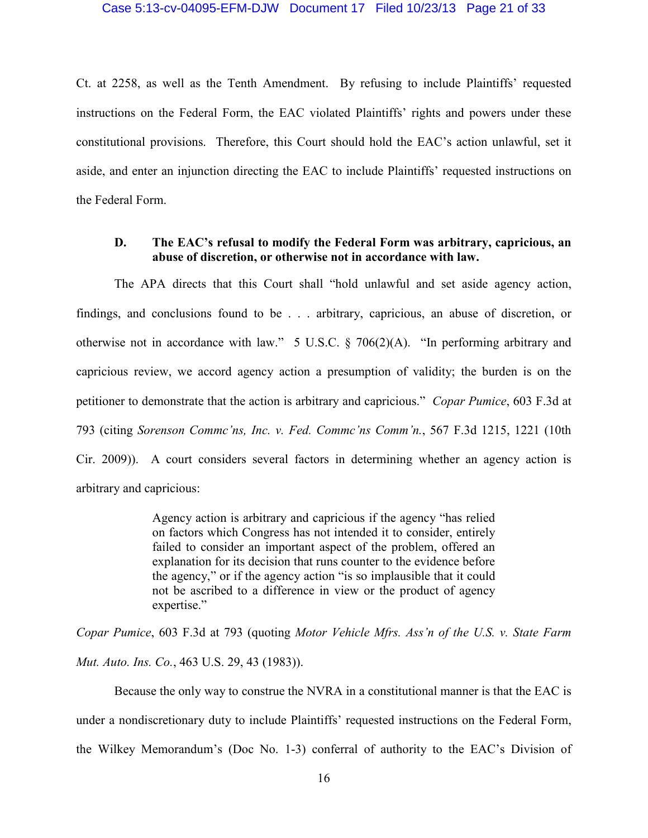Ct. at 2258, as well as the Tenth Amendment. By refusing to include Plaintiffs' requested instructions on the Federal Form, the EAC violated Plaintiffs' rights and powers under these constitutional provisions. Therefore, this Court should hold the EAC's action unlawful, set it aside, and enter an injunction directing the EAC to include Plaintiffs' requested instructions on the Federal Form.

### **D. The EAC's refusal to modify the Federal Form was arbitrary, capricious, an abuse of discretion, or otherwise not in accordance with law.**

The APA directs that this Court shall "hold unlawful and set aside agency action, findings, and conclusions found to be . . . arbitrary, capricious, an abuse of discretion, or otherwise not in accordance with law." 5 U.S.C. § 706(2)(A). "In performing arbitrary and capricious review, we accord agency action a presumption of validity; the burden is on the petitioner to demonstrate that the action is arbitrary and capricious." *Copar Pumice*, 603 F.3d at 793 (citing *Sorenson Commc'ns, Inc. v. Fed. Commc'ns Comm'n.*, 567 F.3d 1215, 1221 (10th Cir. 2009)). A court considers several factors in determining whether an agency action is arbitrary and capricious:

> Agency action is arbitrary and capricious if the agency "has relied on factors which Congress has not intended it to consider, entirely failed to consider an important aspect of the problem, offered an explanation for its decision that runs counter to the evidence before the agency," or if the agency action "is so implausible that it could not be ascribed to a difference in view or the product of agency expertise."

*Copar Pumice*, 603 F.3d at 793 (quoting *Motor Vehicle Mfrs. Ass'n of the U.S. v. State Farm Mut. Auto. Ins. Co.*, 463 U.S. 29, 43 (1983)).

Because the only way to construe the NVRA in a constitutional manner is that the EAC is under a nondiscretionary duty to include Plaintiffs' requested instructions on the Federal Form, the Wilkey Memorandum's (Doc No. 1-3) conferral of authority to the EAC's Division of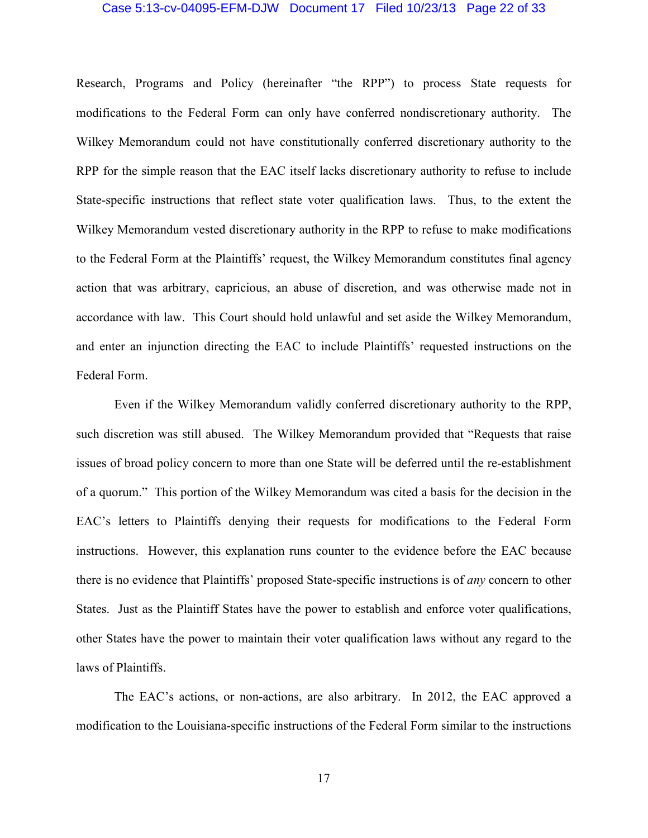#### Case 5:13-cv-04095-EFM-DJW Document 17 Filed 10/23/13 Page 22 of 33

Research, Programs and Policy (hereinafter "the RPP") to process State requests for modifications to the Federal Form can only have conferred nondiscretionary authority. The Wilkey Memorandum could not have constitutionally conferred discretionary authority to the RPP for the simple reason that the EAC itself lacks discretionary authority to refuse to include State-specific instructions that reflect state voter qualification laws. Thus, to the extent the Wilkey Memorandum vested discretionary authority in the RPP to refuse to make modifications to the Federal Form at the Plaintiffs' request, the Wilkey Memorandum constitutes final agency action that was arbitrary, capricious, an abuse of discretion, and was otherwise made not in accordance with law. This Court should hold unlawful and set aside the Wilkey Memorandum, and enter an injunction directing the EAC to include Plaintiffs' requested instructions on the Federal Form.

Even if the Wilkey Memorandum validly conferred discretionary authority to the RPP, such discretion was still abused. The Wilkey Memorandum provided that "Requests that raise issues of broad policy concern to more than one State will be deferred until the re-establishment of a quorum." This portion of the Wilkey Memorandum was cited a basis for the decision in the EAC's letters to Plaintiffs denying their requests for modifications to the Federal Form instructions. However, this explanation runs counter to the evidence before the EAC because there is no evidence that Plaintiffs' proposed State-specific instructions is of *any* concern to other States. Just as the Plaintiff States have the power to establish and enforce voter qualifications, other States have the power to maintain their voter qualification laws without any regard to the laws of Plaintiffs.

The EAC's actions, or non-actions, are also arbitrary. In 2012, the EAC approved a modification to the Louisiana-specific instructions of the Federal Form similar to the instructions

17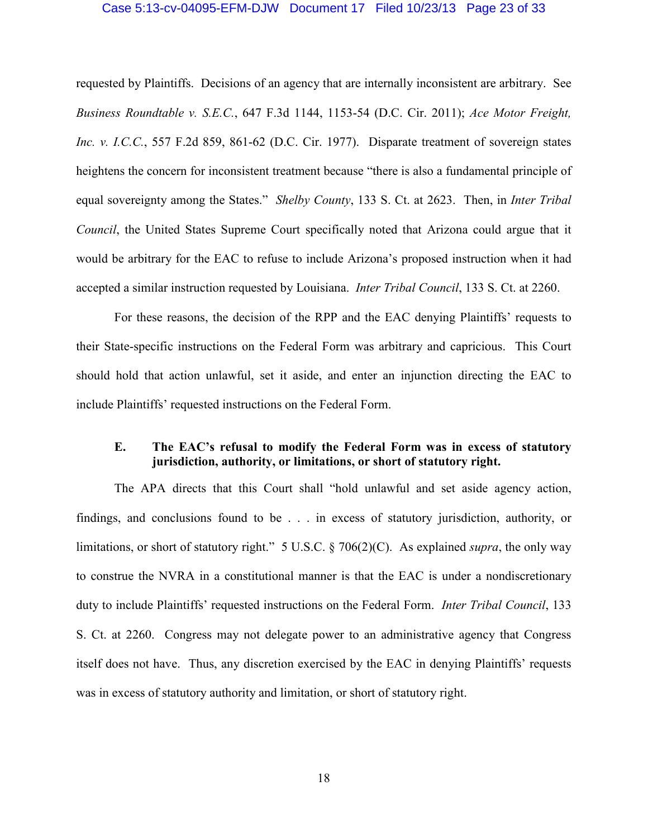#### Case 5:13-cv-04095-EFM-DJW Document 17 Filed 10/23/13 Page 23 of 33

requested by Plaintiffs. Decisions of an agency that are internally inconsistent are arbitrary. See *Business Roundtable v. S.E.C.*, 647 F.3d 1144, 1153-54 (D.C. Cir. 2011); *Ace Motor Freight, Inc. v. I.C.C.*, 557 F.2d 859, 861-62 (D.C. Cir. 1977). Disparate treatment of sovereign states heightens the concern for inconsistent treatment because "there is also a fundamental principle of equal sovereignty among the States." *Shelby County*, 133 S. Ct. at 2623. Then, in *Inter Tribal Council*, the United States Supreme Court specifically noted that Arizona could argue that it would be arbitrary for the EAC to refuse to include Arizona's proposed instruction when it had accepted a similar instruction requested by Louisiana. *Inter Tribal Council*, 133 S. Ct. at 2260.

For these reasons, the decision of the RPP and the EAC denying Plaintiffs' requests to their State-specific instructions on the Federal Form was arbitrary and capricious. This Court should hold that action unlawful, set it aside, and enter an injunction directing the EAC to include Plaintiffs' requested instructions on the Federal Form.

### **E. The EAC's refusal to modify the Federal Form was in excess of statutory jurisdiction, authority, or limitations, or short of statutory right.**

The APA directs that this Court shall "hold unlawful and set aside agency action, findings, and conclusions found to be . . . in excess of statutory jurisdiction, authority, or limitations, or short of statutory right." 5 U.S.C. § 706(2)(C). As explained *supra*, the only way to construe the NVRA in a constitutional manner is that the EAC is under a nondiscretionary duty to include Plaintiffs' requested instructions on the Federal Form. *Inter Tribal Council*, 133 S. Ct. at 2260. Congress may not delegate power to an administrative agency that Congress itself does not have. Thus, any discretion exercised by the EAC in denying Plaintiffs' requests was in excess of statutory authority and limitation, or short of statutory right.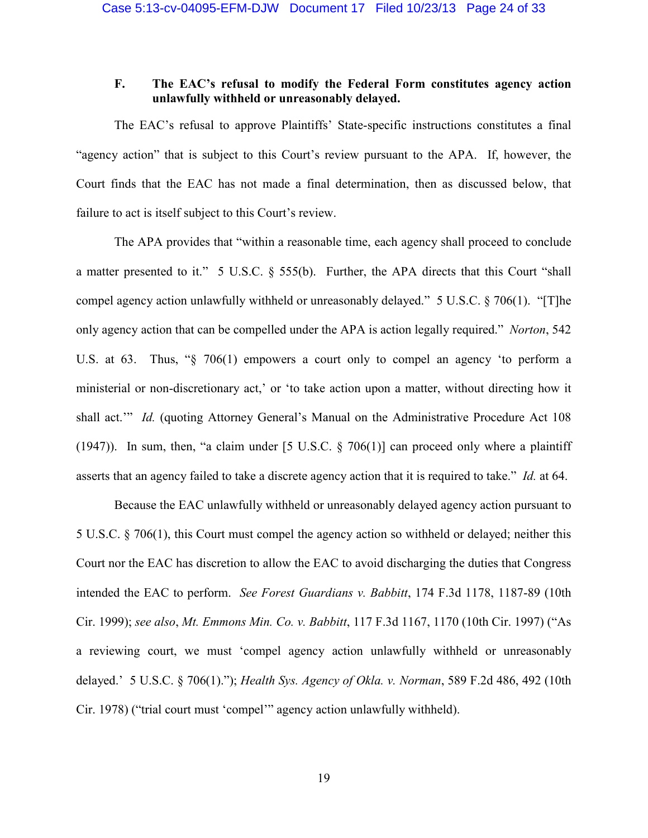### **F. The EAC's refusal to modify the Federal Form constitutes agency action unlawfully withheld or unreasonably delayed.**

The EAC's refusal to approve Plaintiffs' State-specific instructions constitutes a final "agency action" that is subject to this Court's review pursuant to the APA. If, however, the Court finds that the EAC has not made a final determination, then as discussed below, that failure to act is itself subject to this Court's review.

The APA provides that "within a reasonable time, each agency shall proceed to conclude a matter presented to it." 5 U.S.C. § 555(b). Further, the APA directs that this Court "shall compel agency action unlawfully withheld or unreasonably delayed." 5 U.S.C. § 706(1). "[T]he only agency action that can be compelled under the APA is action legally required." *Norton*, 542 U.S. at 63. Thus, "§ 706(1) empowers a court only to compel an agency 'to perform a ministerial or non-discretionary act,' or 'to take action upon a matter, without directing how it shall act." *Id.* (quoting Attorney General's Manual on the Administrative Procedure Act 108 (1947)). In sum, then, "a claim under [5 U.S.C.  $\S$  706(1)] can proceed only where a plaintiff asserts that an agency failed to take a discrete agency action that it is required to take." *Id.* at 64.

Because the EAC unlawfully withheld or unreasonably delayed agency action pursuant to 5 U.S.C. § 706(1), this Court must compel the agency action so withheld or delayed; neither this Court nor the EAC has discretion to allow the EAC to avoid discharging the duties that Congress intended the EAC to perform. *See Forest Guardians v. Babbitt*, 174 F.3d 1178, 1187-89 (10th Cir. 1999); *see also*, *Mt. Emmons Min. Co. v. Babbitt*, 117 F.3d 1167, 1170 (10th Cir. 1997) ("As a reviewing court, we must 'compel agency action unlawfully withheld or unreasonably delayed.' 5 U.S.C. § 706(1)."); *Health Sys. Agency of Okla. v. Norman*, 589 F.2d 486, 492 (10th Cir. 1978) ("trial court must 'compel'" agency action unlawfully withheld).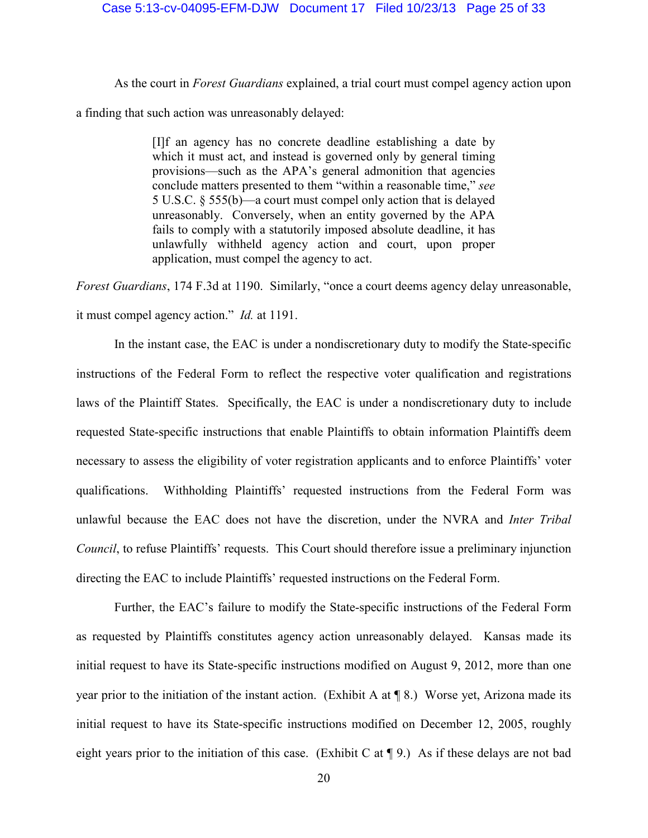#### Case 5:13-cv-04095-EFM-DJW Document 17 Filed 10/23/13 Page 25 of 33

As the court in *Forest Guardians* explained, a trial court must compel agency action upon a finding that such action was unreasonably delayed:

> [I]f an agency has no concrete deadline establishing a date by which it must act, and instead is governed only by general timing provisions—such as the APA's general admonition that agencies conclude matters presented to them "within a reasonable time," *see*  5 U.S.C. § 555(b)—a court must compel only action that is delayed unreasonably. Conversely, when an entity governed by the APA fails to comply with a statutorily imposed absolute deadline, it has unlawfully withheld agency action and court, upon proper application, must compel the agency to act.

*Forest Guardians*, 174 F.3d at 1190. Similarly, "once a court deems agency delay unreasonable, it must compel agency action." *Id.* at 1191.

In the instant case, the EAC is under a nondiscretionary duty to modify the State-specific instructions of the Federal Form to reflect the respective voter qualification and registrations laws of the Plaintiff States. Specifically, the EAC is under a nondiscretionary duty to include requested State-specific instructions that enable Plaintiffs to obtain information Plaintiffs deem necessary to assess the eligibility of voter registration applicants and to enforce Plaintiffs' voter qualifications. Withholding Plaintiffs' requested instructions from the Federal Form was unlawful because the EAC does not have the discretion, under the NVRA and *Inter Tribal Council*, to refuse Plaintiffs' requests. This Court should therefore issue a preliminary injunction directing the EAC to include Plaintiffs' requested instructions on the Federal Form.

Further, the EAC's failure to modify the State-specific instructions of the Federal Form as requested by Plaintiffs constitutes agency action unreasonably delayed. Kansas made its initial request to have its State-specific instructions modified on August 9, 2012, more than one year prior to the initiation of the instant action. (Exhibit A at  $\P$  8.) Worse yet, Arizona made its initial request to have its State-specific instructions modified on December 12, 2005, roughly eight years prior to the initiation of this case. (Exhibit C at ¶ 9.) As if these delays are not bad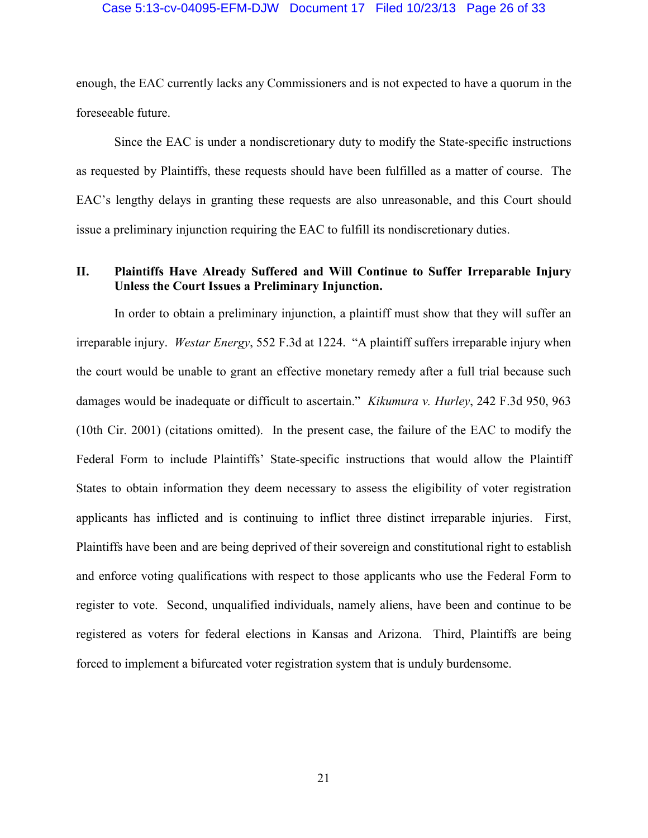#### Case 5:13-cv-04095-EFM-DJW Document 17 Filed 10/23/13 Page 26 of 33

enough, the EAC currently lacks any Commissioners and is not expected to have a quorum in the foreseeable future.

Since the EAC is under a nondiscretionary duty to modify the State-specific instructions as requested by Plaintiffs, these requests should have been fulfilled as a matter of course. The EAC's lengthy delays in granting these requests are also unreasonable, and this Court should issue a preliminary injunction requiring the EAC to fulfill its nondiscretionary duties.

### **II. Plaintiffs Have Already Suffered and Will Continue to Suffer Irreparable Injury Unless the Court Issues a Preliminary Injunction.**

In order to obtain a preliminary injunction, a plaintiff must show that they will suffer an irreparable injury. *Westar Energy*, 552 F.3d at 1224. "A plaintiff suffers irreparable injury when the court would be unable to grant an effective monetary remedy after a full trial because such damages would be inadequate or difficult to ascertain." *Kikumura v. Hurley*, 242 F.3d 950, 963 (10th Cir. 2001) (citations omitted). In the present case, the failure of the EAC to modify the Federal Form to include Plaintiffs' State-specific instructions that would allow the Plaintiff States to obtain information they deem necessary to assess the eligibility of voter registration applicants has inflicted and is continuing to inflict three distinct irreparable injuries. First, Plaintiffs have been and are being deprived of their sovereign and constitutional right to establish and enforce voting qualifications with respect to those applicants who use the Federal Form to register to vote. Second, unqualified individuals, namely aliens, have been and continue to be registered as voters for federal elections in Kansas and Arizona. Third, Plaintiffs are being forced to implement a bifurcated voter registration system that is unduly burdensome.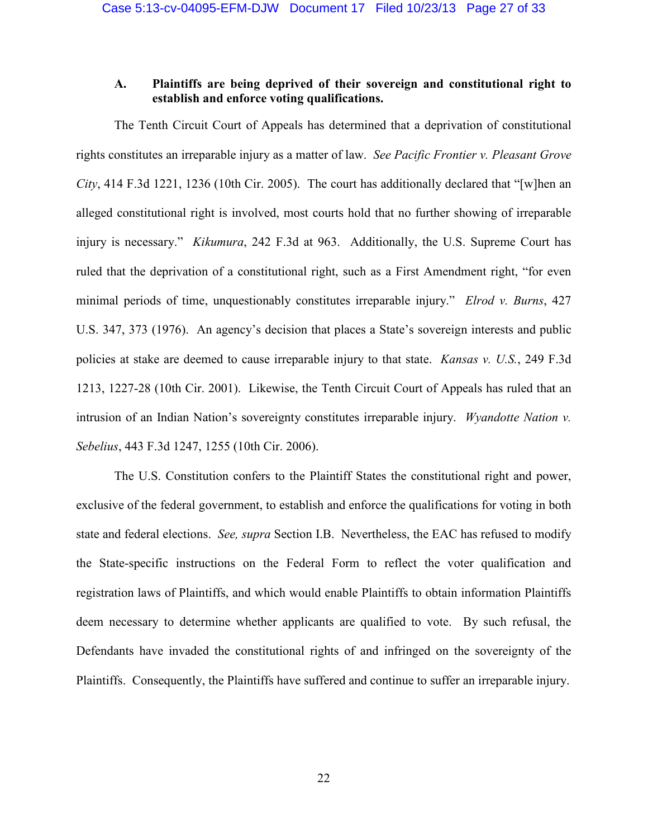### **A. Plaintiffs are being deprived of their sovereign and constitutional right to establish and enforce voting qualifications.**

The Tenth Circuit Court of Appeals has determined that a deprivation of constitutional rights constitutes an irreparable injury as a matter of law. *See Pacific Frontier v. Pleasant Grove City*, 414 F.3d 1221, 1236 (10th Cir. 2005). The court has additionally declared that "[w]hen an alleged constitutional right is involved, most courts hold that no further showing of irreparable injury is necessary." *Kikumura*, 242 F.3d at 963. Additionally, the U.S. Supreme Court has ruled that the deprivation of a constitutional right, such as a First Amendment right, "for even minimal periods of time, unquestionably constitutes irreparable injury." *Elrod v. Burns*, 427 U.S. 347, 373 (1976). An agency's decision that places a State's sovereign interests and public policies at stake are deemed to cause irreparable injury to that state. *Kansas v. U.S.*, 249 F.3d 1213, 1227-28 (10th Cir. 2001). Likewise, the Tenth Circuit Court of Appeals has ruled that an intrusion of an Indian Nation's sovereignty constitutes irreparable injury. *Wyandotte Nation v. Sebelius*, 443 F.3d 1247, 1255 (10th Cir. 2006).

The U.S. Constitution confers to the Plaintiff States the constitutional right and power, exclusive of the federal government, to establish and enforce the qualifications for voting in both state and federal elections. *See, supra* Section I.B. Nevertheless, the EAC has refused to modify the State-specific instructions on the Federal Form to reflect the voter qualification and registration laws of Plaintiffs, and which would enable Plaintiffs to obtain information Plaintiffs deem necessary to determine whether applicants are qualified to vote. By such refusal, the Defendants have invaded the constitutional rights of and infringed on the sovereignty of the Plaintiffs. Consequently, the Plaintiffs have suffered and continue to suffer an irreparable injury.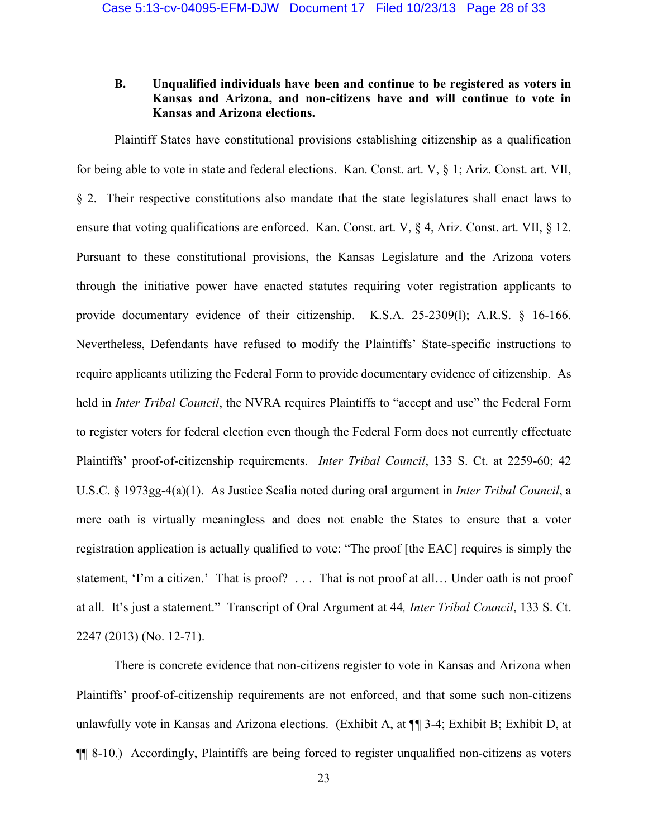### **B. Unqualified individuals have been and continue to be registered as voters in Kansas and Arizona, and non-citizens have and will continue to vote in Kansas and Arizona elections.**

Plaintiff States have constitutional provisions establishing citizenship as a qualification for being able to vote in state and federal elections. Kan. Const. art. V, § 1; Ariz. Const. art. VII, § 2. Their respective constitutions also mandate that the state legislatures shall enact laws to ensure that voting qualifications are enforced. Kan. Const. art. V, § 4, Ariz. Const. art. VII, § 12. Pursuant to these constitutional provisions, the Kansas Legislature and the Arizona voters through the initiative power have enacted statutes requiring voter registration applicants to provide documentary evidence of their citizenship. K.S.A. 25-2309(l); A.R.S. § 16-166. Nevertheless, Defendants have refused to modify the Plaintiffs' State-specific instructions to require applicants utilizing the Federal Form to provide documentary evidence of citizenship. As held in *Inter Tribal Council*, the NVRA requires Plaintiffs to "accept and use" the Federal Form to register voters for federal election even though the Federal Form does not currently effectuate Plaintiffs' proof-of-citizenship requirements. *Inter Tribal Council*, 133 S. Ct. at 2259-60; 42 U.S.C. § 1973gg-4(a)(1). As Justice Scalia noted during oral argument in *Inter Tribal Council*, a mere oath is virtually meaningless and does not enable the States to ensure that a voter registration application is actually qualified to vote: "The proof [the EAC] requires is simply the statement, 'I'm a citizen.' That is proof? . . . That is not proof at all… Under oath is not proof at all. It's just a statement." Transcript of Oral Argument at 44*, Inter Tribal Council*, 133 S. Ct. 2247 (2013) (No. 12-71).

There is concrete evidence that non-citizens register to vote in Kansas and Arizona when Plaintiffs' proof-of-citizenship requirements are not enforced, and that some such non-citizens unlawfully vote in Kansas and Arizona elections. (Exhibit A, at ¶¶ 3-4; Exhibit B; Exhibit D, at ¶¶ 8-10.) Accordingly, Plaintiffs are being forced to register unqualified non-citizens as voters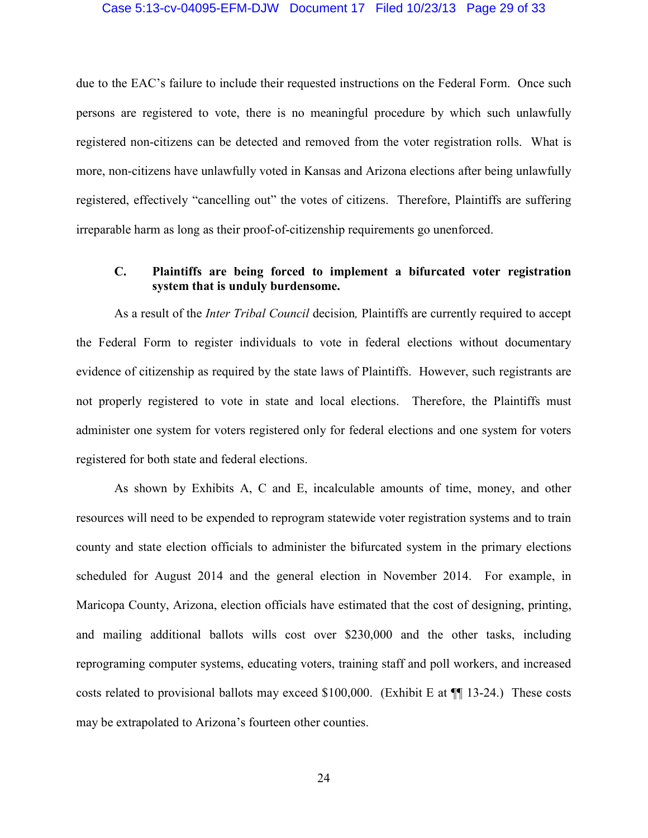#### Case 5:13-cv-04095-EFM-DJW Document 17 Filed 10/23/13 Page 29 of 33

due to the EAC's failure to include their requested instructions on the Federal Form. Once such persons are registered to vote, there is no meaningful procedure by which such unlawfully registered non-citizens can be detected and removed from the voter registration rolls. What is more, non-citizens have unlawfully voted in Kansas and Arizona elections after being unlawfully registered, effectively "cancelling out" the votes of citizens. Therefore, Plaintiffs are suffering irreparable harm as long as their proof-of-citizenship requirements go unenforced.

### **C. Plaintiffs are being forced to implement a bifurcated voter registration system that is unduly burdensome.**

As a result of the *Inter Tribal Council* decision*,* Plaintiffs are currently required to accept the Federal Form to register individuals to vote in federal elections without documentary evidence of citizenship as required by the state laws of Plaintiffs. However, such registrants are not properly registered to vote in state and local elections. Therefore, the Plaintiffs must administer one system for voters registered only for federal elections and one system for voters registered for both state and federal elections.

As shown by Exhibits A, C and E, incalculable amounts of time, money, and other resources will need to be expended to reprogram statewide voter registration systems and to train county and state election officials to administer the bifurcated system in the primary elections scheduled for August 2014 and the general election in November 2014. For example, in Maricopa County, Arizona, election officials have estimated that the cost of designing, printing, and mailing additional ballots wills cost over \$230,000 and the other tasks, including reprograming computer systems, educating voters, training staff and poll workers, and increased costs related to provisional ballots may exceed \$100,000. (Exhibit E at ¶¶ 13-24.) These costs may be extrapolated to Arizona's fourteen other counties.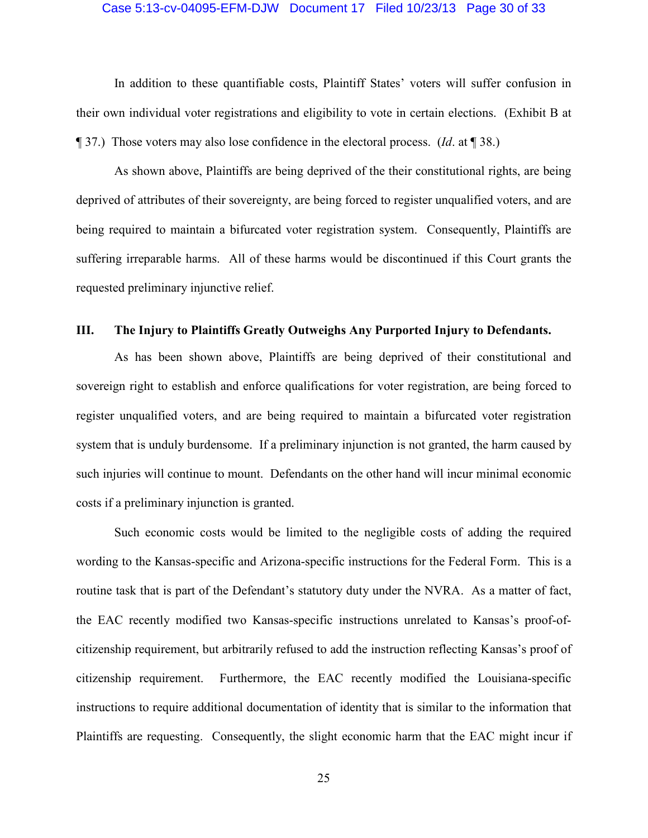#### Case 5:13-cv-04095-EFM-DJW Document 17 Filed 10/23/13 Page 30 of 33

In addition to these quantifiable costs, Plaintiff States' voters will suffer confusion in their own individual voter registrations and eligibility to vote in certain elections. (Exhibit B at ¶ 37.) Those voters may also lose confidence in the electoral process. (*Id*. at ¶ 38.)

As shown above, Plaintiffs are being deprived of the their constitutional rights, are being deprived of attributes of their sovereignty, are being forced to register unqualified voters, and are being required to maintain a bifurcated voter registration system. Consequently, Plaintiffs are suffering irreparable harms. All of these harms would be discontinued if this Court grants the requested preliminary injunctive relief.

#### **III. The Injury to Plaintiffs Greatly Outweighs Any Purported Injury to Defendants.**

As has been shown above, Plaintiffs are being deprived of their constitutional and sovereign right to establish and enforce qualifications for voter registration, are being forced to register unqualified voters, and are being required to maintain a bifurcated voter registration system that is unduly burdensome. If a preliminary injunction is not granted, the harm caused by such injuries will continue to mount. Defendants on the other hand will incur minimal economic costs if a preliminary injunction is granted.

Such economic costs would be limited to the negligible costs of adding the required wording to the Kansas-specific and Arizona-specific instructions for the Federal Form. This is a routine task that is part of the Defendant's statutory duty under the NVRA. As a matter of fact, the EAC recently modified two Kansas-specific instructions unrelated to Kansas's proof-ofcitizenship requirement, but arbitrarily refused to add the instruction reflecting Kansas's proof of citizenship requirement. Furthermore, the EAC recently modified the Louisiana-specific instructions to require additional documentation of identity that is similar to the information that Plaintiffs are requesting. Consequently, the slight economic harm that the EAC might incur if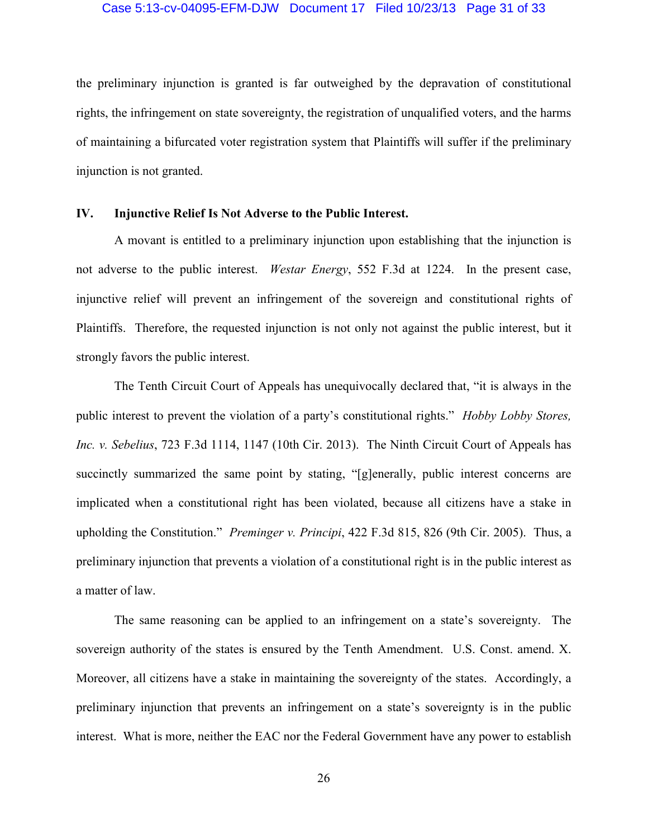#### Case 5:13-cv-04095-EFM-DJW Document 17 Filed 10/23/13 Page 31 of 33

the preliminary injunction is granted is far outweighed by the depravation of constitutional rights, the infringement on state sovereignty, the registration of unqualified voters, and the harms of maintaining a bifurcated voter registration system that Plaintiffs will suffer if the preliminary injunction is not granted.

### **IV. Injunctive Relief Is Not Adverse to the Public Interest.**

A movant is entitled to a preliminary injunction upon establishing that the injunction is not adverse to the public interest. *Westar Energy*, 552 F.3d at 1224. In the present case, injunctive relief will prevent an infringement of the sovereign and constitutional rights of Plaintiffs. Therefore, the requested injunction is not only not against the public interest, but it strongly favors the public interest.

The Tenth Circuit Court of Appeals has unequivocally declared that, "it is always in the public interest to prevent the violation of a party's constitutional rights." *Hobby Lobby Stores, Inc. v. Sebelius*, 723 F.3d 1114, 1147 (10th Cir. 2013). The Ninth Circuit Court of Appeals has succinctly summarized the same point by stating, "[g]enerally, public interest concerns are implicated when a constitutional right has been violated, because all citizens have a stake in upholding the Constitution." *Preminger v. Principi*, 422 F.3d 815, 826 (9th Cir. 2005). Thus, a preliminary injunction that prevents a violation of a constitutional right is in the public interest as a matter of law.

The same reasoning can be applied to an infringement on a state's sovereignty. The sovereign authority of the states is ensured by the Tenth Amendment. U.S. Const. amend. X. Moreover, all citizens have a stake in maintaining the sovereignty of the states. Accordingly, a preliminary injunction that prevents an infringement on a state's sovereignty is in the public interest. What is more, neither the EAC nor the Federal Government have any power to establish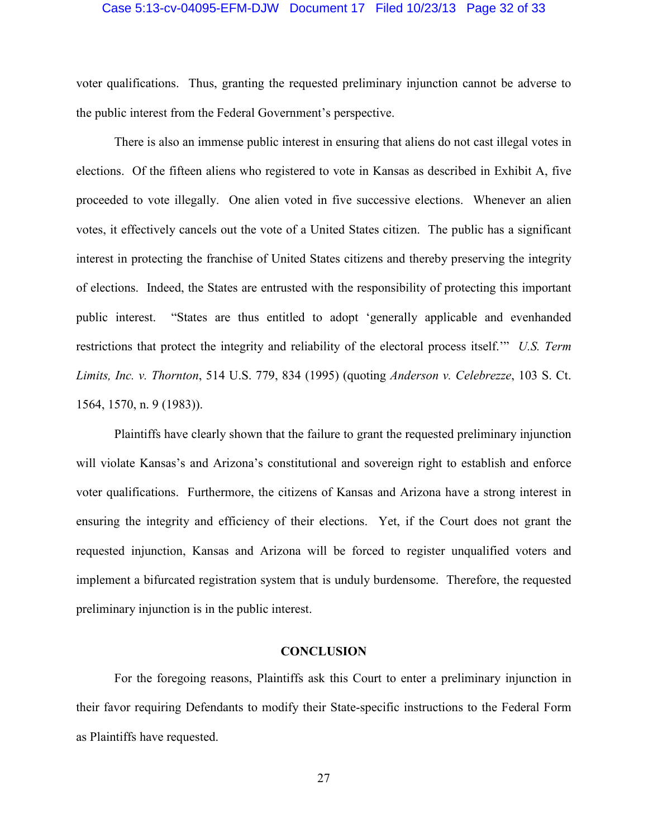#### Case 5:13-cv-04095-EFM-DJW Document 17 Filed 10/23/13 Page 32 of 33

voter qualifications. Thus, granting the requested preliminary injunction cannot be adverse to the public interest from the Federal Government's perspective.

There is also an immense public interest in ensuring that aliens do not cast illegal votes in elections. Of the fifteen aliens who registered to vote in Kansas as described in Exhibit A, five proceeded to vote illegally. One alien voted in five successive elections. Whenever an alien votes, it effectively cancels out the vote of a United States citizen. The public has a significant interest in protecting the franchise of United States citizens and thereby preserving the integrity of elections. Indeed, the States are entrusted with the responsibility of protecting this important public interest. "States are thus entitled to adopt 'generally applicable and evenhanded restrictions that protect the integrity and reliability of the electoral process itself.'" *U.S. Term Limits, Inc. v. Thornton*, 514 U.S. 779, 834 (1995) (quoting *Anderson v. Celebrezze*, 103 S. Ct. 1564, 1570, n. 9 (1983)).

Plaintiffs have clearly shown that the failure to grant the requested preliminary injunction will violate Kansas's and Arizona's constitutional and sovereign right to establish and enforce voter qualifications. Furthermore, the citizens of Kansas and Arizona have a strong interest in ensuring the integrity and efficiency of their elections. Yet, if the Court does not grant the requested injunction, Kansas and Arizona will be forced to register unqualified voters and implement a bifurcated registration system that is unduly burdensome. Therefore, the requested preliminary injunction is in the public interest.

### **CONCLUSION**

For the foregoing reasons, Plaintiffs ask this Court to enter a preliminary injunction in their favor requiring Defendants to modify their State-specific instructions to the Federal Form as Plaintiffs have requested.